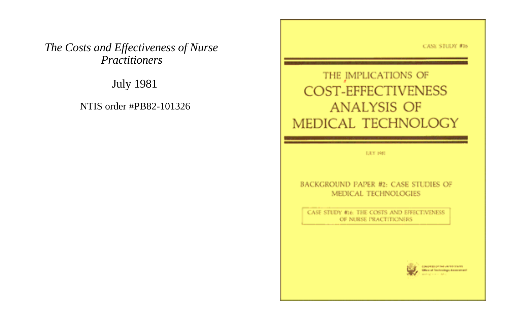**CASE STUDY #16** 

# *The Costs and Effectiveness of Nurse Practitioners*

July 1981

NTIS order #PB82-101326

THE IMPLICATIONS OF COST-EFFECTIVENESS **ANALYSIS OF** MEDICAL TECHNOLOGY

**ILEY 1981** 

#### BACKGROUND PAPER #2: CASE STUDIES OF MEDICAL TECHNOLOGIES

CASE STUDY In ATHE COSTS AND EFFECTIVENESS OF NURSE PRACTITIONERS

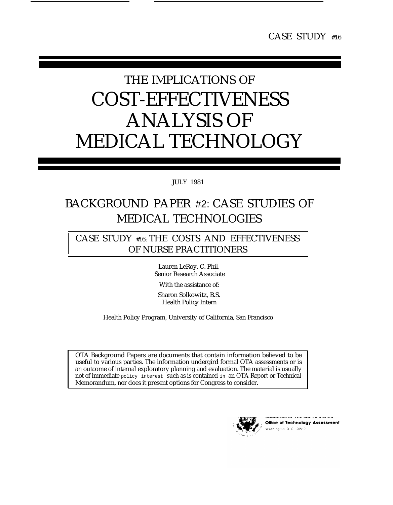# THE IMPLICATIONS OF COST-EFFECTIVENESS ANALYSIS OF MEDICAL TECHNOLOGY

# JULY 1981

# BACKGROUND PAPER #2: CASE STUDIES OF MEDICAL TECHNOLOGIES

# CASE STUDY #16: THE COSTS AND EFFECTIVENESS OF NURSE PRACTITIONERS

Lauren LeRoy, C. Phil. Senior Research Associate

With the assistance of:

Sharon Solkowitz, B.S. Health Policy Intern

Health Policy Program, University of California, San Francisco

OTA Background Papers are documents that contain information believed to be useful to various parties. The information undergird formal OTA assessments or is an outcome of internal exploratory planning and evaluation. The material is usually not of immediate policy interest such as is contained in an OTA Report or Technical Memorandum, nor does it present options for Congress to consider.



Office of Technology Assessment Washington, D.C., 20510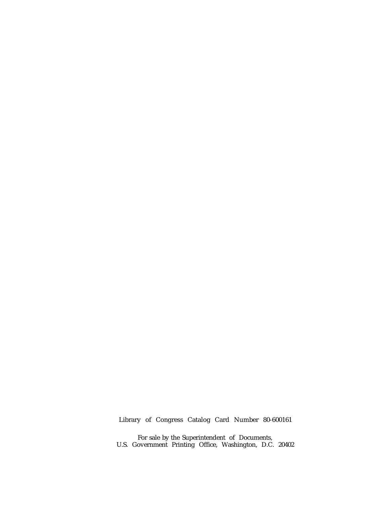### Library of Congress Catalog Card Number 80-600161

For sale by the Superintendent of Documents, U.S. Government Printing Office, Washington, D.C. 20402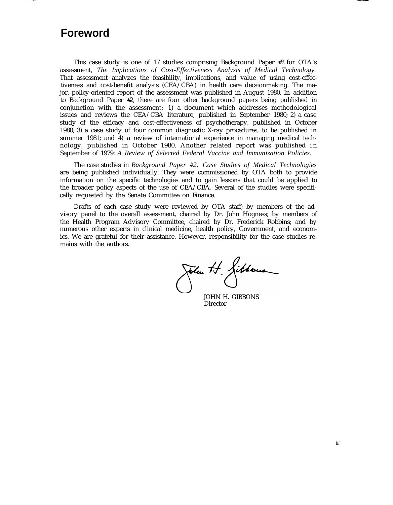# **Foreword**

This case study is one of 17 studies comprising Background Paper #2 for OTA's assessment, *The Implications of Cost-Effectiveness Analysis of Medical Technology.* That assessment analyzes the feasibility, implications, and value of using cost-effectiveness and cost-benefit analysis (CEA/CBA) in health care decsionmaking. The major, policy-oriented report of the assessment was published in August 1980. In addition to Background Paper #2, there are four other background papers being published in conjunction with the assessment: 1) a document which addresses methodological issues and reviews the CEA/CBA literature, published in September 1980; 2) a case study of the efficacy and cost-effectiveness of psychotherapy, published in October 1980; 3) a case study of four common diagnostic X-ray procedures, to be published in summer 1981; and 4) a review of international experience in managing medical technology, published in October 1980. Another related report was published in September of 1979: *A Review of Selected Federal Vaccine and Immunization Policies.*

The case studies in *Background Paper #2: Case Studies of Medical Technologies* are being published individually. They were commissioned by OTA both to provide information on the specific technologies and to gain lessons that could be applied to the broader policy aspects of the use of CEA/CBA. Several of the studies were specifically requested by the Senate Committee on Finance.

Drafts of each case study were reviewed by OTA staff; by members of the advisory panel to the overall assessment, chaired by Dr. John Hogness; by members of the Health Program Advisory Committee, chaired by Dr. Frederick Robbins; and by numerous other experts in clinical medicine, health policy, Government, and economics. We are grateful for their assistance. However, responsibility for the case studies remains with the authors.

John H. Gibbous

JOHN H. GIBBONS Director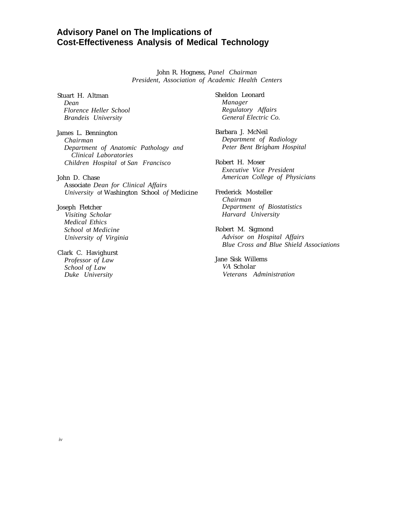# **Advisory Panel on The Implications of Cost-Effectiveness Analysis of Medical Technology**

John R. Hogness, *Panel Chairman President, Association of Academic Health Centers*

Stuart H. Altman *Dean Florence Heller School Brandeis University*

James L. Bennington *Chairman Department of Anatomic Pathology and Clinical Laboratories Children Hospital* of *San Francisco*

John D. Chase Associate *Dean for Clinical Affairs University* of Washington School *of* Medicine

Joseph Fletcher *Visiting Scholar Medical Ethics School* of *Medicine University of Virginia*

Clark C. Havighurst *Professor of Law School of Law Duke University*

Sheldon Leonard *Manager Regulatory Affairs General Electric Co.*

Barbara J. McNeil *Department of Radiology Peter Bent Brigham Hospital*

Robert H. Moser *Executive Vice President American College of Physicians*

Frederick Mosteller *Chairman Department of Biostatistics Harvard University*

Robert M. Sigmond *Advisor on Hospital Affairs Blue Cross and Blue Shield Associations*

Jane Sisk Willems *VA* Scholar *Veterans Administration*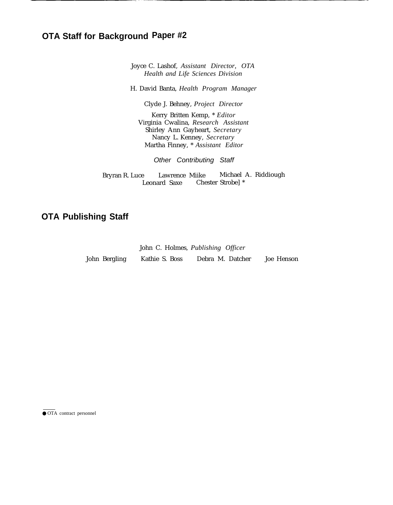# **OTA Staff for Background Paper #2**

Joyce C. Lashof, *Assistant Director, OTA Health and Life Sciences Division*

H. David Banta, *Health Program Manager*

Clyde J. Behney, *Project Director*

Kerry Britten Kemp, \* *Editor* Virginia Cwalina, *Research Assistant* Shirley Ann Gayheart, *Secretary* Nancy L. Kenney, *Secretary* Martha Finney, \* *Assistant Editor*

Other Contributing Staff

Bryran R. Luce Lawrence Miike Michael A. Riddiough . Leonard Saxe Chester Strobe] \*

# **OTA Publishing Staff**

|               | John C. Holmes, Publishing Officer |                  |            |
|---------------|------------------------------------|------------------|------------|
| John Bergling | Kathie S. Boss                     | Debra M. Datcher | Joe Henson |

● OTA contract personnel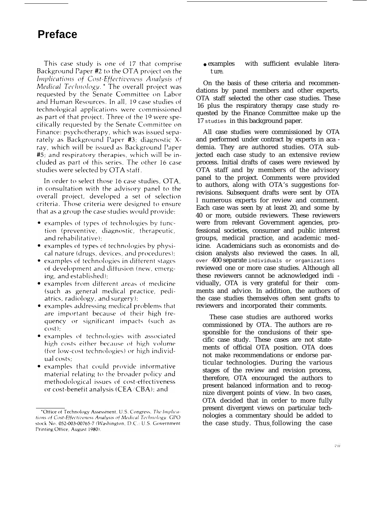# **Preface**

This case study is one of 17 that comprise Background Paper #2 to the OTA project on the Implications of Cost-Effectiveness Analysis of Medical Technology.<sup>\*</sup> The overall project was requested by the Senate Committee on Labor and Human Resources. In all, 19 case studies of technological applications were commissioned as part of that project. Three of the 19 were specifically requested by the Senate Committee on Finance: psychotherapy, which was issued separately as Background Paper  $#3$ ; diagnostic Xray, which will be issued as Background Paper #5; and respiratory therapies, which will be included as part of this series. The other 16 case studies were selected by OTA staff.

In order to select those 16 case studies, OTA, in consultation with the advisory panel to the overall project, developed a set of selection criteria. Those criteria were designed to ensure that as a group the case studies would provide:

- examples of types of technologies by function (preventive, diagnostic, therapeutic, and rehabilitative);
- examples of types of technologies by physical nature (drugs, devices, and procedures);
- examples of technologies in different stages of development and diffusion (new, emerging, and established);
- examples from different areas of medicine (such as general medical practice, pediatrics, radiology, and surgery);
- examples addressing medical problems that are important because of their high frequency or significant impacts (such as  $cost$ :
- examples of technologies with associated high costs either because of high volume (for low-cost technologies) or high individual costs;
- examples that could provide informative material relating to the broader policy and methodological issues of cost-effectiveness or cost-benefit analysis ( $CEA/CBA$ ); and

• examples with sufficient evulable literat ure.

On the basis of these criteria and recommendations by panel members and other experts, OTA staff selected the other case studies. These 16 plus the respiratory therapy case study requested by the Finance Committee make up the 17 studies in this background paper.

All case studies were commissioned by OTA and performed under contract by experts in aca demia. They are authored studies. OTA subjected each case study to an extensive review process. Initial drafts of cases were reviewed by OTA staff and by members of the advisory panel to the project. Comments were provided to authors, along with OTA's suggestions forrevisions. Subsequent drafts were sent by OTA l numerous experts for review and comment. Each case was seen by at least 20, and some by 40 or more, outside reviewers. These reviewers were from relevant Government agencies, professional societies, consumer and public interest groups, medical practice, and academic medicine. Academicians such as economists and decision analysts also reviewed the cases. In all, over 400 separate individuals or organizations reviewed one or more case studies. Although all these reviewers cannot be acknowledged indi vidually, OTA is very grateful for their comments and advice. In addition, the authors of the case studies themselves often sent grafts to reviewers and incorporated their comments.

These case studies are authored works commissioned by OTA. The authors are responsible for the conclusions of their specific case study. These cases are not statements of official OTA position. OTA does not make recommendations or endorse particular technologies. During the various stages of the review and revision process, therefore, OTA encouraged the authors to present balanced information and to recognize divergent points of view. In two cases, OTA decided that in order to more fully present divergent views on particular technologies a commentary should be added to the case study. Thus following the case

<sup>\*</sup>Office of Technology Assessment, U.S. Congress, The Implications of Cost-Effectiveness Analysis of Medical Technology, GPO stock No. 052-003-00765-7 (Washington, D.C.: U.S. Government Printing Office, August 1980).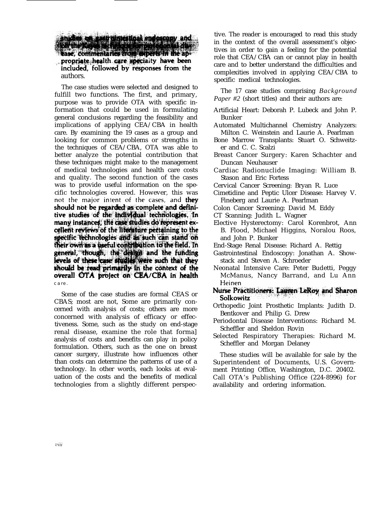anidas on sati pinterioal endoscopy and<br>Solvius varia de finista for partelente de propriate health care specialty have been included, followed by responses from the authors.

The case studies were selected and designed to fulfill two functions. The first, and primary, purpose was to provide OTA with specific information that could be used in formulating general conclusions regarding the feasibility and implications of applying CEA/CBA in health care. By examining the 19 cases as a group and looking for common problems or strengths in the techniques of CEA/CBA, OTA was able to better analyze the potential contribution that these techniques might make to the management of medical technologies and health care costs and quality. The second function of the cases was to provide useful information on the specific technologies covered. However, this was not the major intent of the cases, and they should not be regarded as complete and definitive studies of the individual technologies. In many instances, the case studies do represent excellent reviews of the literature pertaining to the specific technologies and as such can stand on<br>their own as a useful contribution to the field. In general, though, the design and the funding<br>levels of these case studies were such that they should be read primarily in the context of the overall OTA project on CEA/CBA in health care.

Some of the case studies are formal CEAS or CBAS; most are not, Some are primarily concerned with analysis of costs; others are more concerned with analysis of efficacy or effectiveness. Some, such as the study on end-stage renal disease, examine the role that forma] analysis of costs and benefits can play in policy formulation. Others, such as the one on breast cancer surgery, illustrate how influences other than costs can determine the patterns of use of a technology. In other words, each looks at evaluation of the costs and the benefits of medical technologies from a slightly different perspec-

tive. The reader is encouraged to read this study in the context of the overall assessment's objectives in order to gain a feeling for the potential role that CEA/CBA can or cannot play in health care and to better understand the difficulties and complexities involved in applying CEA/CBA to specific medical technologies.

The 17 case studies comprising *Background Paper #2* (short titles) and their authors are:

- Artificial Heart: Deborah P. Lubeck and John P. Bunker
- Automated Multichannel Chemistry Analyzers: Milton C. Weinstein and Laurie A. Pearlman
- Bone Marrow Transplants: Stuart O. Schweitzer and C. C. Scalzi
- Breast Cancer Surgery: Karen Schachter and Duncan Neuhauser
- Cardiac Radionuclide Imaging: William B. Stason and Eric Fortess
- Cervical Cancer Screening: Bryan R. Luce
- Cimetidine and Peptic Ulcer Disease: Harvey V. Fineberg and Laurie A. Pearlman
- Colon Cancer Screening: David M. Eddy
- CT Scanning: Judith L. Wagner
- Elective Hysterectomy: Carol Korenbrot, Ann B. Flood, Michael Higgins, Noralou Roos, and John P. Bunker
- End-Stage Renal Disease: Richard A. Rettig
- Gastrointestinal Endoscopy: Jonathan A. Showstack and Steven A. Schroeder
- Neonatal Intensive Care: Peter Budetti, Peggy McManus, Nancy Barrand, and Lu Ann Heinen
- Nurse Practitioners: Lauren LeRoy and Sharon Solkowitz
- Orthopedic Joint Prosthetic Implants: Judith D. Bentkover and Philip G. Drew
- Periodontal Disease Interventions: Richard M. Scheffler and Sheldon Rovin
- Selected Respiratory Therapies: Richard M. Scheffler and Morgan Delaney

These studies will be available for sale by the Superintendent of Documents, U.S. Government Printing Office, Washington, D.C. 20402. Call OTA's Publishing Office (224-8996) for availability and ordering information.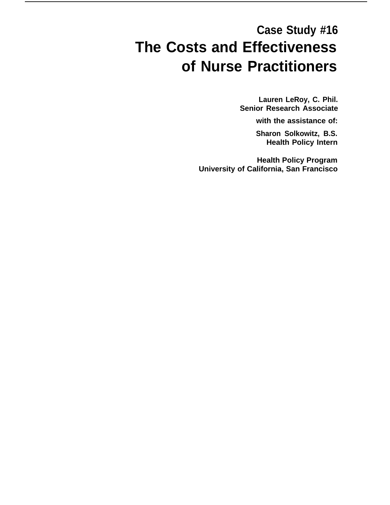# **Case Study #16 The Costs and Effectiveness of Nurse Practitioners**

**Lauren LeRoy, C. Phil. Senior Research Associate**

**with the assistance of:**

**Sharon Solkowitz, B.S. Health Policy Intern**

**Health Policy Program University of California, San Francisco**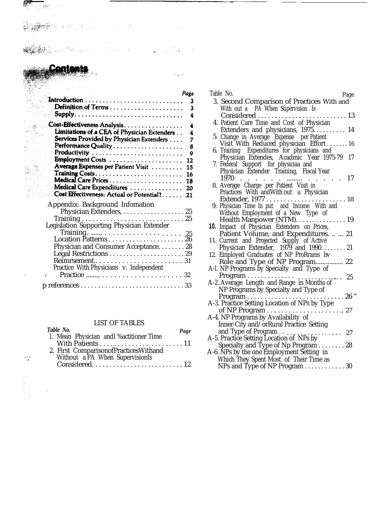Page Definition of Terms ......................  $\mathbf{3}$ Cost-Effectiveness Analysis.................  $\Delta$ Limitations of a CEA of Physician Extenders . 4 Services Provided by Physician Extenders . . . . 7 8 Employment Costs ...................... 12 Average Expenses per Patient Visit ......... 15 Medical Care Prices...................... 18 Medical Care Expenditures ................ 20 Cost Effectiveness: Actual or Potential?...... 21 Appendix: Background Infomation Physician Extenders, . . . . . . . . . . . . . . . . . . 25 Training . . . . . . . . . . . . . . . . . . . . . . . . . . . . . 25 Legislation Supporting Physician Extender Training. ......, . . . . . . . . . . . . . . .... . 25 Location Patterns . . . . . . . . . . . . . . . . . . . . . . 26 Physician and Consumer Acceptance. . . . . . . . 28 Legal Restrictions . . . . . . . . . . . . . . . . . . . . . . 29 Reimrsement.. . . . . . . . . . . . . . . . . . . . . . . 31 Practice With Physicians v. Independent . , Practice ......., . . . . . . . . . . . . . . . . . . . . 32 p references . . . . . . . . . . . . . . . . . . . . . . . . . . . . . . 33

 $"$ 

أرود

#### LIST OF TABLES

|    | Table No.                                | Page |
|----|------------------------------------------|------|
|    | l. Mean Physician andI % actitioner Time |      |
|    |                                          |      |
|    | 2. First Comparison of Practices Withand |      |
| ∵, | Without a PA When SupervisionIs          |      |
|    |                                          |      |

. . .

 $\mathcal{I}^0_s$ 

| Table No.<br>Page                                                                          |
|--------------------------------------------------------------------------------------------|
| 3. Second Comparison of Practices With and                                                 |
| With out a PA When Supervision Is                                                          |
| $\ldots$ 13<br>Considered<br>$\alpha$ , and $\alpha$ , and $\alpha$                        |
| 4. Patient Care Time and Cost of Physician                                                 |
| Extenders and physicians, 1975 14                                                          |
|                                                                                            |
| 5. Change in Average Expense per Patient<br>Visit With Reduced physician Effort  16        |
|                                                                                            |
| 6. Training Expenditures for physicians and<br>Physician Extendes, Acadmic Year 1975-79 17 |
| 7. Federal Support for physiciaa and                                                       |
| Physician Extender Training, Fiscal Year                                                   |
| 1970<br>17                                                                                 |
| 8. Average Charge per Patient Visit in                                                     |
| Practices With and With out a Physician                                                    |
| Extender, 1977<br>9. Physician Time In put and Income With and<br>$\ldots$ 18              |
|                                                                                            |
| Without Employment of a New Type of                                                        |
| Health Manpower (NTM). 19                                                                  |
| <b>10.</b> Impact of Physician Extenders on Prices,                                        |
| Patient Volume, and Expenditures.   21                                                     |
| 11. Current and Projected Supply of Active                                                 |
| Physician Extender, 1979 and 199021<br>12. Employed Graduates of NP ProRrams bv            |
|                                                                                            |
| Role and Type of NP Program 22<br>A-l. NP Programs by Specialty and Type of                |
|                                                                                            |
| Program<br>A-2. Average Length and Range in Months of 25                                   |
| NP Programs by Specialty and Type of                                                       |
| $\ldots 26$ "<br>$Program \ldots \ldots$                                                   |
| A-3. Practice Setting Location of NPs by Type                                              |
| of NP Program<br>27                                                                        |
| A-4. NP Programs by Availability of                                                        |
| Inner-City and/orRural Practice Setting                                                    |
| and Type of Program<br>$\cdots$ 27                                                         |
| A-5. Practice Setting Location of NPs by                                                   |
| Specialty and Type of Np Program 28                                                        |
| A-6. NPs by the one Employment Setting in                                                  |
| Which They Spent Most of Their Time as                                                     |
| NPs and Type of NP Program $\ldots \ldots \ldots 30$                                       |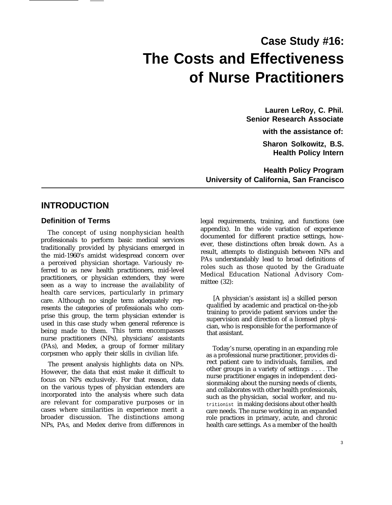# **Case Study #16: The Costs and Effectiveness of Nurse Practitioners**

**Lauren LeRoy, C. Phil. Senior Research Associate with the assistance of:**

**Sharon Solkowitz, B.S. Health Policy Intern**

**Health Policy Program University of California, San Francisco**

# **INTRODUCTION**

## **Definition of Terms**

The concept of using nonphysician health professionals to perform basic medical services traditionally provided by physicians emerged in the mid-1960's amidst widespread concern over a perceived physician shortage. Variously referred to as new health practitioners, mid-level practitioners, or physician extenders, they were seen as a way to increase the availability of health care services, particularly in primary care. Although no single term adequately represents the categories of professionals who comprise this group, the term physician extender is used in this case study when general reference is being made to them. This term encompasses nurse practitioners (NPs), physicians' assistants (PAs), and Medex, a group of former military corpsmen who apply their skills in civilian life.

The present analysis highlights data on NPs. However, the data that exist make it difficult to focus on NPs exclusively. For that reason, data on the various types of physician extenders are incorporated into the analysis where such data are relevant for comparative purposes or in cases where similarities in experience merit a broader discussion. The distinctions among NPs, PAs, and Medex derive from differences in legal requirements, training, and functions (see appendix). In the wide variation of experience documented for different practice settings, however, these distinctions often break down. As a result, attempts to distinguish between NPs and PAs understandably lead to broad definitions of roles such as those quoted by the Graduate Medical Education National Advisory Committee (32):

[A physician's assistant is] a skilled person qualified by academic and practical on-the-job training to provide patient services under the supervision and direction of a licensed physician, who is responsible for the performance of that assistant.

Today's nurse, operating in an expanding role as a professional nurse practitioner, provides direct patient care to individuals, families, and other groups in a variety of settings . . . . The nurse practitioner engages in independent decisionmaking about the nursing needs of clients, and collaborates with other health professionals, such as the physician, social worker, and nutritionist in making decisions about other health care needs. The nurse working in an expanded role practices in primary, acute, and chronic health care settings. As a member of the health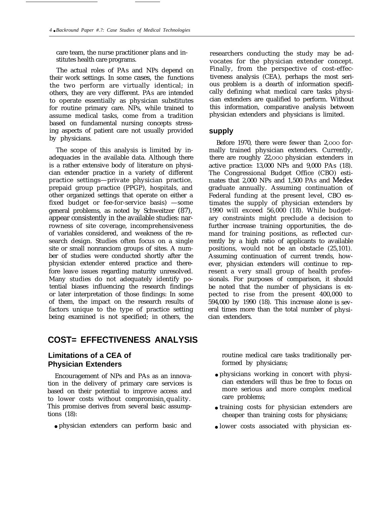care team, the nurse practitioner plans and institutes health care programs.

The actual roles of PAs and NPs depend on their work settings. In some cases, the functions the two perform are virtually identical; in others, they are very different. PAs are intended to operate essentially as physician substitutes for routine primary care. NPs, while trained to assume medical tasks, come from a tradition based on fundamental nursing concepts stressing aspects of patient care not usually provided by physicians.

The scope of this analysis is limited by inadequacies in the available data. Although there is a rather extensive body of literature on physician extender practice in a variety of different practice settings—private physician practice, prepaid group practice (PPGP), hospitals, and other organized settings that operate on either a fixed budget or fee-for-service basis) —some general problems, as noted by Schweitzer (87), appear consistently in the available studies: narrowness of site coverage, incomprehensiveness of variables considered, and weakness of the research design. Studies often focus on a single site or small nonranciom groups of sites. A number of studies were conducted shortly after the physician extender entered practice and therefore leave issues regarding maturity unresolved. Many studies do not adequately identify potential biases influencing the research findings or later interpretation of those findings: In some of them, the impact on the research results of factors unique to the type of practice setting being examined is not specified; in others, the

# **COST= EFFECTIVENESS ANALYSIS**

# **Limitations of a CEA of Physician Extenders**

Encouragement of NPs and PAs as an innovation in the delivery of primary care services is based on their potential to improve access and to lower costs without compromisin<sub>s</sub> quality. This promise derives from several basic assumptions (18):

● physician extenders can perform basic and

researchers conducting the study may be advocates for the physician extender concept. Finally, from the perspective of cost-effectiveness analysis (CEA), perhaps the most serious problem is a dearth of information specifically defining what medical care tasks physician extenders are qualified to perform. Without this information, comparative analysis between physician extenders and physicians is limited.

#### **supply**

Before 1970, there were fewer than 2,000 formally trained physician extenders. Currently, there are roughly 22,OOO physician extenders in active practice: 13,000 NPs and 9,000 PAs (18). The Congressional Budget Office (CBO) estimates that 2,000 NPs and 1,500 PAs and Medex graduate annually. Assuming continuation of Federal funding at the present level, CBO estimates the supply of physician extenders by 1990 will exceed 56,000 (18). While budgetary constraints might preclude a decision to further increase training opportunities, the demand for training positions, as reflected currently by a high ratio of applicants to available positions, would not be an obstacle (25,101). Assuming continuation of current trends, however, physician extenders will continue to represent a very small group of health professionals. For purposes of comparison, it should be noted that the number of physicians is expected to rise from the present 400,000 to 594,000 by 1990 (18). This increase alone is several times more than the total number of physician extenders.

routine medical care tasks traditionally performed by physicians;

- physicians working in concert with physician extenders will thus be free to focus on more serious and more complex medical care problems;
- training costs for physician extenders are cheaper than training costs for physicians;
- lower costs associated with physician ex-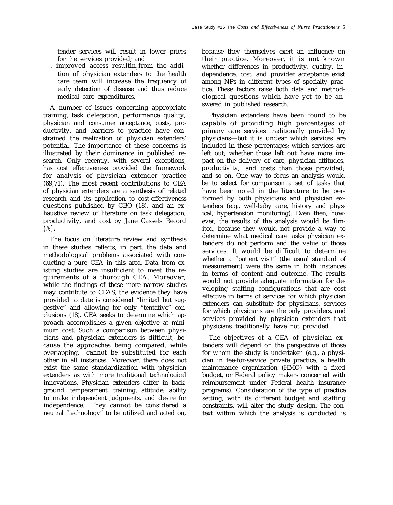tender services will result in lower prices for the services provided; and

improved access resultin, from the addition of physician extenders to the health care team will increase the frequency of early detection of disease and thus reduce medical care expenditures.

A number of issues concerning appropriate training, task delegation, performance quality, physician and consumer acceptance, costs, productivity, and barriers to practice have constrained the realization of physician extenders' potential. The importance of these concerns is illustrated by their dominance in published research. Only recently, with several exceptions, has cost effectiveness provided the framework for analysis of physician extender practice (69,71). The most recent contributions to CEA of physician extenders are a synthesis of related research and its application to cost-effectiveness questions published by CBO (18), and an exhaustive review of literature on task delegation, productivity, and cost by Jane Cassels Record (70).

The focus on literature review and synthesis in these studies reflects, in part, the data and methodological problems associated with conducting a pure CEA in this area. Data from existing studies are insufficient to meet the requirements of a thorough CEA. Moreover, while the findings of these more narrow studies may contribute to CEAS, the evidence they have provided to date is considered "limited but suggestive" and allowing for only "tentative" conclusions (18). CEA seeks to determine which approach accomplishes a given objective at minimum cost. Such a comparison between physicians and physician extenders is difficult, because the approaches being compared, while overlapping, cannot be substituted for each other in all instances. Moreover, there does not exist the same standardization with physician extenders as with more traditional technological innovations. Physician extenders differ in background, temperament, training, attitude, ability to make independent judgments, and desire for independence. They cannot be considered a neutral "technology" to be utilized and acted on,

because they themselves exert an influence on their practice. Moreover, it is not known whether differences in productivity, quality, independence, cost, and provider acceptance exist among NPs in different types of specialty practice. These factors raise both data and methodological questions which have yet to be answered in published research.

Physician extenders have been found to be capable of providing high percentages of primary care services traditionally provided by physicians—but it is unclear which services are included in these percentages; which services are left out; whether those left out have more impact on the delivery of care, physician attitudes, productivity, and costs than those provided; and so on. One way to focus an analysis would be to select for comparison a set of tasks that have been noted in the literature to be performed by both physicians and physician extenders (e.g., well-baby care, history and physical, hypertension monitoring). Even then, however, the results of the analysis would be 1imited, because they would not provide a way to determine what medical care tasks physician extenders do not perform and the value of those services. It would be difficult to determine whether a "patient visit" (the usual standard of measurement) were the same in both instances in terms of content and outcome. The results would not provide adequate information for developing staffing configurations that are cost effective in terms of services for which physician extenders can substitute for physicians, services for which physicians are the only providers, and services provided by physician extenders that physicians traditionally have not provided.

The objectives of a CEA of physician extenders will depend on the perspective of those for whom the study is undertaken (e.g., a physician in fee-for-service private practice, a health maintenance organization (HMO) with a fixed budget, or Federal policy makers concerned with reimbursement under Federal health insurance programs). Consideration of the type of practice setting, with its different budget and staffing constraints, will alter the study design. The context within which the analysis is conducted is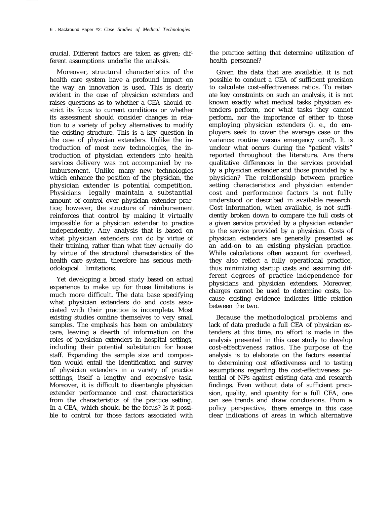crucial. Different factors are taken as given; different assumptions underlie the analysis.

Moreover, structural characteristics of the health care system have a profound impact on the way an innovation is used. This is clearly evident in the case of physician extenders and raises questions as to whether a CEA should restrict its focus to current conditions or whether its assessment should consider changes in relation to a variety of policy alternatives to modify the existing structure. This is a key question in the case of physician extenders. Unlike the introduction of most new technologies, the introduction of physician extenders into health services delivery was not accompanied by reimbursement. Unlike many new technologies which enhance the position of the physician, the physician extender is potential competition. Physicians legally maintain a substantial amount of control over physician extender practice; however, the structure of reimbursement reinforces that control by making it virtually impossible for a physician extender to practice independently, Any analysis that is based on what physician extenders *can* do by virtue of their training, rather than what they *actually* do by virtue of the structural characteristics of the health care system, therefore has serious methodological limitations.

Yet developing a broad study based on actual experience to make up for those limitations is much more difficult. The data base specifying what physician extenders do and costs associated with their practice is incomplete. Most existing studies confine themselves to very small samples. The emphasis has been on ambulatory care, leaving a dearth of information on the roles of physician extenders in hospital settings, including their potential substitution for house staff. Expanding the sample size and composition would entail the identification and survey of physician extenders in a variety of practice settings, itself a lengthy and expensive task. Moreover, it is difficult to disentangle physician extender performance and cost characteristics from the characteristics of the practice setting. In a CEA, which should be the focus? Is it possible to control for those factors associated with

the practice setting that determine utilization of health personnel?

Given the data that are available, it is not possible to conduct a CEA of sufficient precision to calculate cost-effectiveness ratios. To reiterate key constraints on such an analysis, it is not known exactly what medical tasks physician extenders perform, nor what tasks they cannot perform, nor the importance of either to those employing physician extenders (i. e., do employers seek to cover the average case or the variance: routine versus emergency care?). It is unclear what occurs during the "patient visits" reported throughout the literature. Are there qualitative differences in the services provided by a physician extender and those provided by a physician? The relationship between practice setting characteristics and physician extender cost and performance factors is not fully understood or described in available research. Cost information, when available, is not sufficiently broken down to compare the full costs of a given service provided by a physician extender to the service provided by a physician. Costs of physician extenders are generally presented as an add-on to an existing physician practice. While calculations often account for overhead, they also reflect a fully operational practice, thus minimizing startup costs and assuming different degrees of practice independence for physicians and physician extenders. Moreover, charges cannot be used to determine costs, because existing evidence indicates little relation between the two.

Because the methodological problems and lack of data preclude a full CEA of physician extenders at this time, no effort is made in the analysis presented in this case study to develop cost-effectiveness ratios. The purpose of the analysis is to elaborate on the factors essential to determining cost effectiveness and to testing assumptions regarding the cost-effectiveness potential of NPs against existing data and research findings. Even without data of sufficient precision, quality, and quantity for a full CEA, one can see trends and draw conclusions. From a policy perspective, there emerge in this case clear indications of areas in which alternative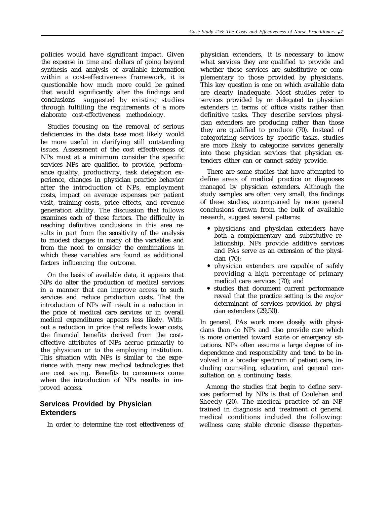poIicies would have significant impact. Given the expense in time and dollars of going beyond synthesis and analysis of available information within a cost-effectiveness framework, it is questionable how much more could be gained that would significantly alter the findings and conclusions suggested by existing studies through fulfilling the requirements of a more elaborate cost-effectiveness methodology.

Studies focusing on the removal of serious deficiencies in the data base most likely would be more useful in clarifying still outstanding issues. Assessment of the cost effectiveness of NPs must at a minimum consider the specific services NPs are qualified to provide, performance quality, productivity, task delegation experience, changes in physician practice behavior after the introduction of NPs, employment costs, impact on average expenses per patient visit, training costs, price effects, and revenue generation ability. The discussion that follows examines each of these factors. The difficulty in reaching definitive conclusions in this area results in part from the sensitivity of the analysis to modest changes in many of the variables and from the need to consider the combinations in which these variables are found as additional factors influencing the outcome.

On the basis of available data, it appears that NPs do alter the production of medical services in a manner that can improve access to such services and reduce production costs. That the introduction of NPs will result in a reduction in the price of medical care services or in overall medical expenditures appears less likely. Without a reduction in price that reflects lower costs, the financial benefits derived from the costeffective attributes of NPs accrue primarily to the physician or to the employing institution. This situation with NPs is similar to the experience with many new medical technologies that are cost saving. Benefits to consumers come when the introduction of NPs results in improved access.

# **Services Provided by Physician Extenders**

In order to determine the cost effectiveness of

physician extenders, it is necessary to know what services they are qualified to provide and whether those services are substitutive or complementary to those provided by physicians. This key question is one on which available data are clearly inadequate. Most studies refer to services provided by or delegated to physician extenders in terms of office visits rather than definitive tasks. They describe services physician extenders are producing rather than those they are qualified to produce (70). Instead of categorizing services by specific tasks, studies are more likely to categorize services generally into those physician services that physician extenders either can or cannot safely provide.

There are some studies that have attempted to define areas of medical practice or diagnoses managed by physician extenders. Although the study samples are often very small, the findings of these studies, accompanied by more general conclusions drawn from the bulk of available research, suggest several patterns:

- physicians and physician extenders have both a complementary and substitutive relationship. NPs provide additive services and PAs serve as an extension of the physician (70);
- physician extenders are capable of safely providing a high percentage of primary medical care services (70); and
- studies that document current performance reveal that the practice setting is the *major* determinant of services provided by physician extenders (29,50).

In general, PAs work more closely with physicians than do NPs and also provide care which is more oriented toward acute or emergency situations. NPs often assume a large degree of independence and responsibility and tend to be involved in a broader spectrum of patient care, including counseling, education, and general consultation on a continuing basis.

Among the studies that begin to define services performed by NPs is that of Coulehan and Sheedy (20). The medical practice of an NP trained in diagnosis and treatment of general medical conditions included the following: wellness care; stable chronic disease (hyperten-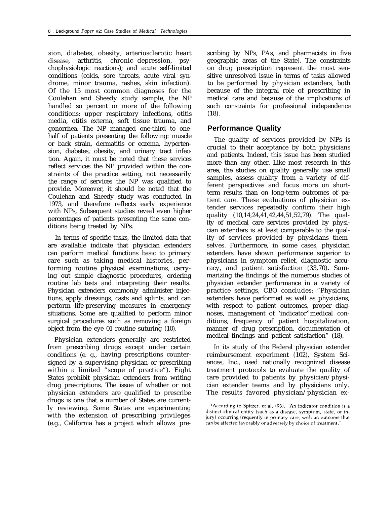sion, diabetes, obesity, arteriosclerotic heart disease, arthritis, chronic depression, psychophysiologic reactions); and acute self-limited conditions (colds, sore throats, acute viral syndrome, minor trauma, rashes, skin infection). Of the 15 most common diagnoses for the Coulehan and Sheedy study sample, the NP handled so percent or more of the following conditions: upper respiratory infections, otitis media, otitis externa, soft tissue trauma, and gonorrhea. The NP managed one-third to onehalf of patients presenting the following: muscle or back strain, dermatitis or eczema, hypertension, diabetes, obesity, and urinary tract infection. Again, it must be noted that these services reflect services the NP provided within the constraints of the practice setting, not necessarily the range of services the NP was qualified to provide. Moreover, it should be noted that the Coulehan and Sheedy study was conducted in 1973, and therefore reflects early experience with NPs, Subsequent studies reveal even higher percentages of patients presenting the same conditions being treated by NPs.

In terms of specific tasks, the limited data that are available indicate that physician extenders can perform medical functions basic to primary care such as taking medical histories, performing routine physical examinations, carrying out simple diagnostic procedures, ordering routine lab tests and interpreting their results. Physician extenders commonly administer injections, apply dressings, casts and splints, and can perform life-preserving measures in emergency situations. Some are qualified to perform minor surgical procedures such as removing a foreign object from the eye 01 routine suturing (10).

Physician extenders generally are restricted from prescribing drugs except under certain conditions (e. g., having prescriptions countersigned by a supervising physician or prescribing within a limited "scope of practice"). Eight States prohibit physician extenders from writing drug prescriptions. The issue of whether or not physician extenders are qualified to prescribe drugs is one that a number of States are currently reviewing. Some States are experimenting with the extension of prescribing privileges (e.g., California has a project which allows prescribing by NPs, PAs, and pharmacists in five geographic areas of the State). The constraints on drug prescription represent the most sensitive unresolved issue in terms of tasks allowed to be performed by physician extenders, both because of the integral role of prescribing in medical care and because of the implications of such constraints for professional independence (18).

# **Performance Quality**

The quality of services provided by NPs is crucial to their acceptance by both physicians and patients. Indeed, this issue has been studied more than any other. Like most research in this area, the studies on quality generally use small samples, assess quality from a variety of different perspectives and focus more on shortterm results than on long-term outcomes of patient care. These evaluations of physician extender services repeatedly confirm their high quality (10,14,24,41,42,44,51,52,79). The quality of medical care services provided by physician extenders is at least comparable to the quality of services provided by physicians themselves. Furthermore, in some cases, physician extenders have shown performance superior to physicians in symptom relief, diagnostic accuracy, and patient satisfaction (33,70). Summarizing the findings of the numerous studies of physician extender performance in a variety of practice settings, CBO concludes: "Physician extenders have performed as well as physicians, with respect to patient outcomes, proper diagnoses, management of 'indicator' medical conditions, frequency of patient hospitalization, manner of drug prescription, documentation of medical findings and patient satisfaction" (18).

In its study of the Federal physician extender reimbursement experiment (102), System Sciences, Inc., used nationally recognized disease treatment protocols to evaluate the quality of care provided to patients by physician/physician extender teams and by physicians only. The results favored physician/physician ex-

<sup>&#</sup>x27;According to Spitzer, et al. (93), "An indicator condition is a distinct clinical entity (such as a disease, symptom, state, or injury) occurring frequently in primary care, with an outcome that can be affected favorably or adversely by choice of treatment."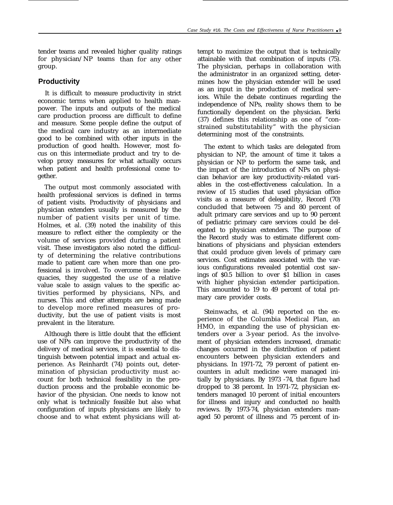tender teams and revealed higher quality ratings for physician/NP teams than for any other group.

## **Productivity**

It is difficult to measure productivity in strict economic terms when applied to health manpower. The inputs and outputs of the medical care production process are difficult to define and measure. Some people define the output of the medical care industry as an intermediate good to be combined with other inputs in the production of good health. However, most focus on this intermediate product and try to develop proxy measures for what actually occurs when patient and health professional come together.

The output most commonly associated with health professional services is defined in terms of patient visits. Productivity of physicians and physician extenders usually is measured by the number of patient visits per unit of time. Holmes, et al. (39) noted the inability of this measure to reflect either the complexity or the volume of services provided during a patient visit. These investigators also noted the difficulty of determining the relative contributions made to patient care when more than one professional is involved. To overcome these inadequacies, they suggested the *use* of a relative value scale to assign values to the specific activities performed by physicians, NPs, and nurses. This and other attempts are being made to develop more refined measures of productivity, but the use of patient visits is most prevalent in the literature.

Although there is little doubt that the efficient use of NPs can improve the productivity of the delivery of medical services, it is essential to distinguish between potential impact and actual experience. As Reinhardt (74) points out, determination of physician productivity must account for both technical feasibility in the production process and the probable economic behavior of the physician. One needs to know not only what is technically feasible but also what configuration of inputs physicians are likely to choose and to what extent physicians will attempt to maximize the output that is technically attainable with that combination of inputs (75). The physician, perhaps in collaboration with the administrator in an organized setting, determines how the physician extender will be used as an input in the production of medical services. While the debate continues regarding the independence of NPs, reality shows them to be functionally dependent on the physician. Berki (37) defines this relationship as one of "constrained substitutability" with the physician determining most of the constraints.

The extent to which tasks are delegated from physician to NP, the amount of time it takes a physician or NP to perform the same task, and the impact of the introduction of NPs on physician behavior are key productivity-related variables in the cost-effectiveness calculation. In a review of 15 studies that used physician office visits as a measure of delegability, Record (70) concluded that between 75 and 80 percent of adult primary care services and up to 90 percent of pediatric primary care services could be delegated to physician extenders. The purpose of the Record study was to estimate different combinations of physicians and physician extenders that could produce given levels of primary care services. Cost estimates associated with the various configurations revealed potential cost savings of \$0.5 billion to over \$1 billion in cases with higher physician extender participation. This amounted to 19 to 49 percent of total primary care provider costs.

Steinwachs, et al. (94) reported on the experience of the Columbia Medical Plan, an HMO, in expanding the use of physician extenders over a 3-year period. As the involvement of physician extenders increased, dramatic changes occurred in the distribution of patient encounters between physician extenders and physicians. In 1971-72, 79 percent of patient encounters in adult medicine were managed initially by physicians. By 1973 -74, that figure had dropped to 38 percent. In 1971-72, physician extenders managed 10 percent of initial encounters for illness and injury and conducted no health reviews. By 1973-74, physician extenders managed 50 percent of illness and 75 percent of in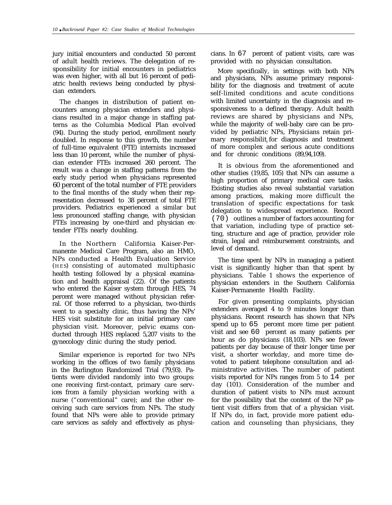jury initial encounters and conducted 50 percent of adult health reviews. The delegation of responsibility for initial encounters in pediatrics was even higher, with all but 16 percent of pediatric health reviews being conducted by physician extenders.

The changes in distribution of patient encounters among physician extenders and physicians resulted in a major change in staffing patterns as the Columbia Medical Plan evolved (94). During the study period, enrollment nearly doubled. In response to this growth, the number of full-time equivalent (FTE) internists increased less than 10 percent, while the number of physician extender FTEs increased 260 percent. The result was a change in staffing patterns from the early study period when physicians represented 60 percent of the total number of FTE providers to the final months of the study when their representation decreased to 38 percent of total FTE providers. Pediatrics experienced a similar but less pronounced staffing change, with physician FTEs increasing by one-third and physician extender FTEs nearly doubling.

In the Northern California Kaiser-Permanente Medical Care Program, also an HMO, NPs conducted a Health Evaluation Service (HES) consisting of automated multiphasic health testing followed by a physical examination and health appraisal (22). Of the patients who entered the Kaiser system through HES, 74 percent were managed without physician referral. Of those referred to a physician, two-thirds went to a specialty clinic, thus having the NPs' HES visit substitute for an initial primary care physician visit. Moreover, pelvic exams conducted through HES replaced 5,207 visits to the gynecology clinic during the study period.

Similar experience is reported for two NPs working in the offices of two family physicians in the Burlington Randomized Trial (79,93). Patients were divided randomly into two groups: one receiving first-contact, primary care services from a family physician working with a nurse ("conventional" care); and the other receiving such care services from NPs. The study found that NPs were able to provide primary care services as safely and effectively as physicians. In 67 percent of patient visits, care was provided with no physician consultation.

More specifically, in settings with both NPs and physicians, NPs assume primary responsibility for the diagnosis and treatment of acute self-limited conditions and acute conditions with limited uncertainty in the diagnosis and responsiveness to a defined therapy. Adult health reviews are shared by physicians and NPs, while the majority of well-baby care can be provided by pediatric NPs, Physicians retain primary responsibilit for diagnosis and treatment of more complex and serious acute conditions and for chronic conditions (89,94,109).

It is obvious from the aforementioned and other studies (19,85, 105) that NPs can assume a high proportion of primary medical care tasks. Existing studies also reveal substantial variation among practices, making more difficult the translation of specific expectations for task delegation to widespread experience. Record (70) outlines a number of factors accounting for that variation, including type of practice setting, structure and age of practice, provider role strain, legal and reimbursement constraints, and level of demand.

The time spent by NPs in managing a patient visit is significantly higher than that spent by physicians. Table 1 shows the experience of physician extenders in the Southern California Kaiser-Permanente Health Facility.

For given presenting complaints, physician extenders averaged 4 to 9 minutes longer than physicians. Recent research has shown that NPs spend up to 65 percent more time per patient visit and see 60 percent as many patients per hour as do physicians (18,103). NPs see fewer patients per day because of their longer time per visit, a shorter workday, and more time devoted to patient telephone consultation and administrative activities. The number of patient visits reported for NPs ranges from 5 to 14 per day (101). Consideration of the number and duration of patient visits to NPs must account for the possibility that the content of the NP patient visit differs from that of a physician visit. If NPs do, in fact, provide more patient education and counseling than physicians, they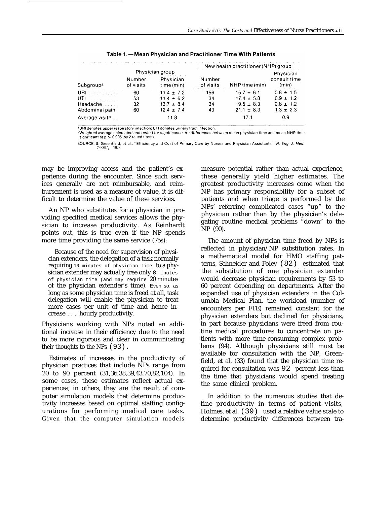|                       |                     |                         |                     | New health practitioner (NHP) group |                       |
|-----------------------|---------------------|-------------------------|---------------------|-------------------------------------|-----------------------|
|                       |                     | Physician group         |                     |                                     | Physician             |
| Subgroup <sup>a</sup> | Number<br>of visits | Physician<br>time (min) | Number<br>of visits | NHP time (min)                      | consult time<br>(min) |
| URI $\ldots$          | 60                  | $11.4 \pm 7.2$          | 156                 | $15.7 \pm 6.1$                      | $0.8 \pm 1.5$         |
| <b>UTI</b>            | 53                  | $11.4 \pm 6.2$          | 34                  | $17.4 \pm 5.8$                      | $0.9 \pm 1.2$         |
| Headache              | 32                  | $13.7 \pm 8.4$          | 34                  | $19.5 \pm 8.3$                      | $0.8 \pm 1.2$         |
| Abdominal pain.       | 60                  | $12.4 \pm 7.4$          | 43                  | $21.1 \pm 8.3$                      | $1.3 \pm 2.3$         |
| Average visitb        |                     | 11.8                    |                     | 17.1                                | 0.9                   |

Table 1. - Mean Physician and Practitioner Time With Patients

<sup>1</sup>URI denotes upper respiratory infection; UTI donates urinary tract infection.

- Will all the calculated and tested for significance. All differences between mean physician time and mean NHP time<br>PWeighted average calculated and tested for significance. All differences between mean physician time and significant at  $p > 0.005$  (by 2-tailed t-test).

SOURCE: S. Greenfield, et al., "Efficiency and Cost of Primary Care by Nurses and Physician Assistants," N. Eng. J. Med. 298307, 1978

may be improving access and the patient's experience during the encounter. Since such services generally are not reimbursable, and reimbursement is used as a measure of value, it is difficult to determine the value of these services.

An NP who substitutes for a physician in providing specified medical services allows the physician to increase productivity. As Reinhardt points out, this is true even if the NP spends more time providing the same service (75s):

Because of the need for supervision of physician extenders, the delegation of a task normally requiring 10 minutes of physician time to a physician extender may actually free only **8** minutes of physician time (and may require 20 minutes of the physician extender's time). Even so, as long as some physician time is freed at all, task delegation will enable the physician to treat more cases per unit of time and hence increase . . . hourly productivity.

Physicians working with NPs noted an additional increase in their efficiency due to the need to be more rigorous and clear in communicating their thoughts to the NPs (93).

Estimates of increases in the productivity of physician practices that include NPs range from 20 to 90 percent (31,36,38,39,43,70,82,104). In some cases, these estimates reflect actual experiences; in others, they are the resuIt of computer simulation models that determine productivity increases based on optimal staffing configurations for performing medical care tasks. Given that the computer simulation models

measure potential rather than actual experience, these generally yield higher estimates. The greatest productivity increases come when the NP has primary responsibility for a subset of patients and when triage is performed by the NPs' referring complicated cases "up" to the physician rather than by the physician's delegating routine medical problems "down" to the NP (90).

The amount of physician time freed by NPs is reflected in physician/NP substitution rates. In a mathematical model for HMO staffing patterns, Schneider and Foley (82) estimated that the substitution of one physician extender would decrease physician requirements by 53 to 60 percent depending on departments. After the expanded use of physician extenders in the Columbia Medical Plan, the workload (number of encounters per FTE) remained constant for the physician extenders but declined for physicians, in part because physicians were freed from routine medical procedures to concentrate on patients with more time-consuming complex problems (94). Although physicians still must be available for consultation with the NP, Greenfield, et al. (33) found that the physician time required for consultation was 92 percent less than the time that physicians would spend treating the same clinical problem.

In addition to the numerous studies that define productivity in terms of patient visits, Holmes, et al. (39) used a relative value scale to determine productivity differences between tra-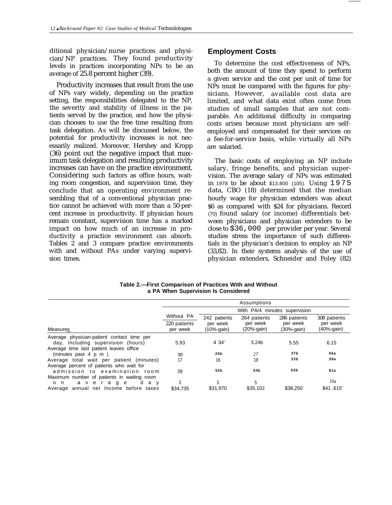ditional physician/nurse practices and physician/NP practices. They found productivity levels in practices incorporating NPs to be an average of 25.8 percent higher (39).

Productivity increases that result from the use of NPs vary widely, depending on the practice setting, the responsibilities delegated to the NP, the severity and stability of illness in the patients served by the practice, and how the physician chooses to use the free time resulting from task delegation. As will be discussed below, the potential for productivity increases is not necessarily realized. Moreover, Hershey and Kropp (36) point out the negative impact that maximum task delegation and resulting productivity increases can have on the practice environment. Considering such factors as office hours, waiting room congestion, and supervision time, they conclude that an operating environment resembling that of a conventional physician practice cannot be achieved with more than a 50-percent increase in procductivity. If physician hours remain constant, supervision time has a marked impact on how much of an increase in productivity a practice environment can absorb. Tables 2 and 3 compare practice environments with and without PAs under varying supervision times.

## **Employment Costs**

To determine the cost effectiveness of NPs, both the amount of time they spend to perform a given service and the cost per unit of time for NPs must be compared with the figures for physicians. However, available cost data are limited, and what data exist often come from studies of small samples that are not comparable. An additional difficulty in comparing costs arises because most physicians are selfemployed and compensated for their services on a fee-for-service basis, while virtually all NPs are salaried.

The basic costs of employing an NP include salary, fringe benefits, and physician supervision. The average salary of NPs was estimated in 1978 to be about \$13,800 (105). Using 1975 data, CBO (18) determined that the median hourly wage for physician extenders was about \$6 as compared with \$24 for physicians. Record (70) found salary (or income) differentials between physicians and physician extenders to be close to \$36,000 per provider per year. Several studies stress the importance of such differentials in the physician's decision to employ an NP (33,82). In their systems analysis of the use of physician extenders, Schneider and Foley (82)

**Table 2.—First Comparison of Practices With and Without a PA When Supervision Is Considered**

|                                                                                                                              |                          |                           | Assumptions               |                               |                        |  |  |  |
|------------------------------------------------------------------------------------------------------------------------------|--------------------------|---------------------------|---------------------------|-------------------------------|------------------------|--|--|--|
|                                                                                                                              |                          |                           |                           | With PA/4 minutes supervision |                        |  |  |  |
|                                                                                                                              | Without PA               | 242 patients              | 264 patients              | 286 patients                  | 308 patients           |  |  |  |
| Measures                                                                                                                     | 220 patients<br>per week | per week<br>$(10%$ -gain) | per week<br>$(20%$ -gain) | per week<br>(30%-gain)        | per week<br>(40%-gain) |  |  |  |
| Average physician-patient contact time per<br>day, Including supervision (hours)                                             | 5.93                     | 4 34'                     | 5.24b                     | 5.55                          | 6.15                   |  |  |  |
| Average time last patient leaves office<br>(minutes past $4 \, p \, m$ )                                                     | 30                       | 25 <sub>b</sub>           | 27                        | 37 <sub>b</sub>               | 66a                    |  |  |  |
| Average total wait per patient (minutes)<br>Average percent of patients who wait for                                         | 17                       | 16                        | 18                        | 23 <sub>b</sub>               | 39a                    |  |  |  |
| admission to examination room                                                                                                | 39                       | 52b                       | 54b                       | 62b                           | 81a                    |  |  |  |
| Maximum number of patients in waiting room<br>average<br>a v<br>d<br>$\circ$<br>n.<br>Average annual net Income before taxes | 3<br>\$34.735            | 3<br>\$31,970             | 5<br>\$35,102             | \$38,250                      | 10a<br>\$41,615°       |  |  |  |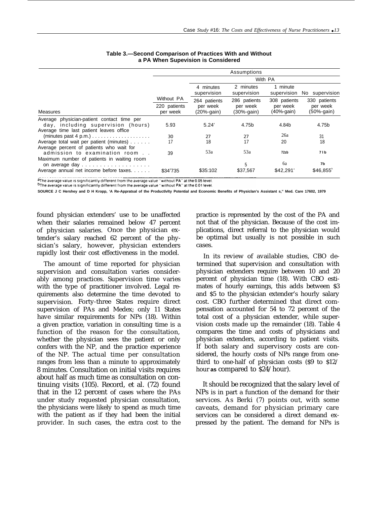|                                                                                                       |                          |                          | Assumptions              |                            |                        |
|-------------------------------------------------------------------------------------------------------|--------------------------|--------------------------|--------------------------|----------------------------|------------------------|
|                                                                                                       |                          | With PA                  |                          |                            |                        |
|                                                                                                       |                          | 4 minutes<br>supervision | 2 minutes<br>supervision | 1 minute<br>supervision    | No supervision         |
|                                                                                                       | Without PA               | 264 patients             | 286 patients             | 308 patients               | 330 patients           |
| <b>Measures</b>                                                                                       | 220 patients<br>per week | per week<br>(20%-gain)   | per week<br>$(30%-gain)$ | per week<br>$(40% - gain)$ | per week<br>(50%-gain) |
| Average physician-patient contact time per<br>day, including supervision (hours)                      | 5.93                     | 5.24'                    | 4.75b                    | 4.84b                      | 4.75b                  |
| Average time last patient leaves office<br>$(minutes past 4 p.m.) \ldots \ldots \ldots \ldots \ldots$ | 30                       | 27                       | 27                       | 26a                        | 31                     |
| Average total wait per patient (minutes)<br>Average percent of patients who wait for                  | 17                       | 18                       | 17                       | 20                         | 18                     |
| admission to examination room<br>Maximum number of patients in waiting room                           | 39                       | 53a                      | 53a                      | 72zb                       | 71b                    |
|                                                                                                       |                          |                          | 5                        | бa                         | 7b                     |
| Average annual net income before taxes                                                                | \$34 735                 | \$35:102                 | \$37,567                 | \$42,291                   | \$46.855               |

#### **Table 3.—Second Comparison of Practices With and Without a PA When Supevision is Considered**

aThe average value is significantly different from the average value "without PA" at the 0.05 level.

<sup>b</sup>The average value is significantly different from the average value "without PA" at the 0.01 level

**SOURCE J C Hershey and D H Kropp, 'A Re-Appratsal of the Productlvlty Potential and Economic Benefits of Physiclan's Assistant s," Med. Care 17602, 1979**

found physician extenders' use to be unaffected when their salaries remained below 47 percent of physician salaries. Once the physician extender's salary reached 62 percent of the physician's salary, however, physician extenders rapidly lost their cost effectiveness in the model.

The amount of time reported for physician supervision and consultation varies considerably among practices. Supervision time varies with the type of practitioner involved. Legal requirements also determine the time devoted to supervision. Forty-three States require direct supervision of PAs and Medex; only 11 States have similar requirements for NPs (18). Within a given practice, variation in consulting time is a function of the reason for the consultation, whether the physician sees the patient or only confers with the NP, and the practice experience of the NP. The actual time per consultation ranges from less than a minute to approximately 8 minutes. Consultation on initial visits requires about half as much time as consultation on continuing visits (105). Record, et al. (72) found that in the 12 percent of cases where the PAs under study requested physician consultation, the physicians were likely to spend as much time with the patient as if they had been the initial provider. In such cases, the extra cost to the

practice is represented by the cost of the PA and not that of the physician. Because of the cost implications, direct referral to the physician would be optimal but usually is not possible in such cases.

In its review of available studies, CBO determined that supervision and consultation with physician extenders require between 10 and 20 percent of physician time (18). With CBO estimates of hourly earnings, this adds between \$3 and \$5 to the physician extender's hourly salary cost. CBO further determined that direct compensation accounted for 54 to 72 percent of the total cost of a physician extender, while supervision costs made up the remainder (18). Table 4 compares the time and costs of physicians and physician extenders, according to patient visits. If both salary and supervisory costs are considered, the hourly costs of NPs range from onethird to one-half of physician costs (\$9 to \$12/ hour **as** compared to \$24/hour).

It should be recognized that the salary level of NPs is in part a function of the demand for their services. As Berki (7) points out, with some caveats, demand for physician primary care services can be considered a direct demand expressed by the patient. The demand for NPs is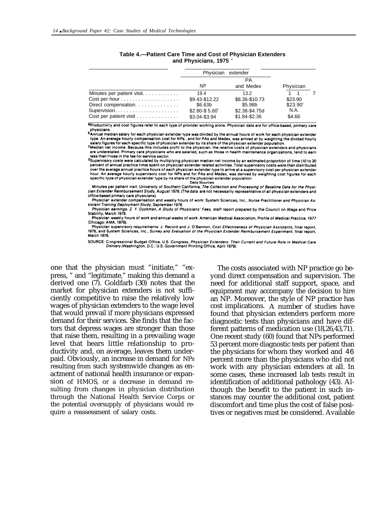|                                                                                   | Physician extender             |                                 |                     |
|-----------------------------------------------------------------------------------|--------------------------------|---------------------------------|---------------------|
|                                                                                   | ΝP                             | РA<br>and Medex                 | Physician           |
| Minutes per patient visit                                                         | 19.4                           | 13.2 <sup>2</sup>               | 1 1 7               |
| $Cost per hour \dots \dots \dots \dots \dots \dots \dots$<br>Direct compensation. | \$9.43-\$12.22<br>\$6.63b      | \$8.36-\$10.73<br>\$5.98b       | \$23.90<br>\$23.90' |
| Cost per patient visit                                                            | \$2.80-\$5.60<br>\$3.04-\$3.94 | \$2.38-\$4.75d<br>\$1.84-\$2.36 | N.A.<br>\$4.66      |

#### **Table 4.—Patient Care Time and Cost of Physician Extenders and Physicians, 1975 <sup>a</sup>**

aproductivity and cost figures refer to each type of provider working alone. Physician data are for office-based, primary care Dhysicians.<br>DAnnual median salary for each physician extender type was divided by the annual hours of work for each physicians<br>Unaugurant and the salary for each physician extender type was divided by the annual hours of w

An average hourly compensation cost for NPs, and for PAs and Medex, was arrived at by weighting the divided hourly<br>salary figures for each specific type of physician extender by its share of the physician extender populati salary figures for each specific type of physician extender by its share of the physician extender population.<br><sup>C</sup>Median net income. Because this includes profit to the physician, the relative costs of physician extenders

are understated. Primary care physicians who are salaried, such as those in health maintenance organizations, tend to earn less than those in the fee-for-service sector.

dSupervisory costs were calculated by multiplying physician median net income by an estimated proportion of time (10 to 20 percent of annual practice time) spent on physician extender related activities. Total supervisory costs were then distributed over the average annual practice hours of each physician extender type to arrive at a supervisory cost per physician extender<br>hour. An average hourly supervisory cost for NPs and for PAs and Medex, was derived by weighting specific type of physician extender type by its share of the physician extender population. **Data Sources** 

Minutes per patient visit: University of Southern California, The Collection and Processing of Baseline Data for the Physician Extender Reimbursement Study, August 1978. (The data are not necessarily representative of all physician extenders and office-based primary care physicians).

Physician extender compensation and weekly hours of work: System Sciences, Inc., Nurse Practitioner and Physician Assistant Training Deployment Study, September 1976.

Physician earnings: Z. Y. Dyckman, A Study of Physicians' Fees, staff report prepared by the Council on Wage and Price Stability, March 1978. Physician weekly hours of work and annual weeks of work: American Medical Association. Profile of Medical Practice, 1977

Chicago: AMA, 1978). Physician supervisory requirements: J. Record and J. O'Bannon, Cost Effectiveness of Physician Assistants, final report,

1976, and System Sciences, Inc., Survey and Evaluation of the Physician Extender Reimbursement Experiment, final report, **March 1978** 

SOURCE: Congressional Budget Office, U.S. Congress, Physician Extenders: Their Current and Future Role in Medical Care Delivery (Washington, D.C.: U.S. Government Printing Office, April 1979).

one that the physician must "initiate," "express, " and "legitimate," making this demand a derived one (7). Goldfarb (30) notes that the market for physician extenders is not sufficiently competitive to raise the relatively low wages of physician extenders to the wage level that would prevail if more physicians expressed demand for their services. She finds that the factors that depress wages are stronger than those that raise them, resulting in a prevailing wage level that bears little relationship to productivity and, on average, leaves them underpaid. Obviously, an increase in demand for NPs resulting from such systemwide changes as enactment of national health insurance or expansion of HMOS, or a decrease in demand resulting from changes in physician distribution through the National Health Service Corps or the potential oversupply of physicians would require a reassessment of salary costs.

The costs associated with NP practice go beyond direct compensation and supervision. The need for additional staff support, space, and equipment may accompany the decision to hire an NP. Moreover, the style of NP practice has cost implications. A number of studies have found that physician extenders perform more diagnostic tests than physicians and have different patterns of medication use (18,26,43,71). One recent study (60) found that NPs performed 53 percent more diagnostic tests per patient than the physicians for whom they worked and 46 percent more than the physicians who did not work with any physician extenders at all. In some cases, these increased lab tests result in identification of additional pathology (43). Although the benefit to the patient in such instances may counter the additional cost, patient discomfort and time plus the cost of false positives or negatives must be considered. Available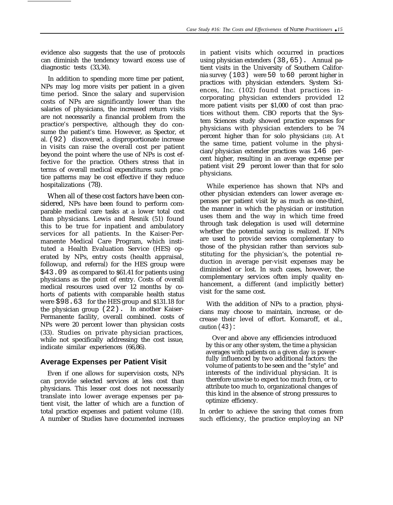evidence also suggests that the use of protocols can diminish the tendency toward excess use of diagnostic tests (33,34).

In addition to spending more time per patient, NPs may log more visits per patient in a given time period. Since the salary and supervision costs of NPs are significantly lower than the salaries of physicians, the increased return visits are not necessarily a financial problem from the practice's perspective, although they do consume the patient's time. However, as Spector, et al. (92) discovered, a disproportionate increase in visits can raise the overall cost per patient beyond the point where the use of NPs is cost effective for the practice. Others stress that in terms of overall medical expenditures such practice patterns may be cost effective if they reduce hospitalizations (78).

When all of these cost factors have been considered, NPs have been found to perform comparable medical care tasks at a lower total cost than physicians. Lewis and Resnik (51) found this to be true for inpatient and ambulatory services for all patients. In the Kaiser-Permanente Medical Care Program, which instituted a Health Evaluation Service (HES) operated by NPs, entry costs (health appraisal, followup, and referral) for the HES group were \$43.09 as compared to \$61.41 for patients using physicians as the point of entry. Costs of overall medical resources used over 12 months by cohorts of patients with comparable health status were \$98.63 for the HES group and \$131.18 for the physician group (22). In another Kaiser-Permanente facility, overall combined. costs of NPs were 20 percent lower than physician costs (33). Studies on private physician practices, while not specifically addressing the cost issue, indicate similar experiences (66,86).

# **Average Expenses per Patient Visit**

Even if one allows for supervision costs, NPs can provide selected services at less cost than physicians. This lesser cost does not necessarily translate into lower average expenses per patient visit, the latter of which are a function of total practice expenses and patient volume (18). A number of Studies have documented increases

in patient visits which occurred in practices using physician extenders (38,65). Annual patient visits in the University of Southern California survey (103) were 50 to 60 percent higher in practices with physician extenders. System Sciences, Inc. (102) found that practices incorporating physician extenders provided 12 more patient visits per \$1,000 of cost than practices without them. CBO reports that the System Sciences study showed practice expenses for physicians with physician extenders to be 74 percent higher than for solo physicians (18). At the same time, patient volume in the physician/physician extender practices was 146 percent higher, resulting in an average expense per patient visit 29 percent lower than that for solo physicians.

While experience has shown that NPs and other physician extenders can lower average expenses per patient visit by as much as one-third, the manner in which the physician or institution uses them and the way in which time freed through task delegation is used will determine whether the potential saving is realized. If NPs are used to provide services complementary to those of the physician rather than services substituting for the physician's, the potential reduction in average per-visit expenses may be diminished or lost. In such cases, however, the complementary services often imply quality enhancement, a different (and implicitly better) visit for the same cost.

With the addition of NPs to a practice, physicians may choose to maintain, increase, or decrease their level of effort. Komaroff, et al., caution  $(43)$ :

Over and above any efficiencies introduced by this or any other system, the time a physician averages with patients on a given day is powerfully influenced by two additional factors: the volume of patients to be seen and the "style" and interests of the individual physician. It is therefore unwise to expect too much from, or to attribute too much to, organizational changes of this kind in the absence of strong pressures to optimize efficiency.

In order to achieve the saving that comes from such efficiency, the practice employing an NP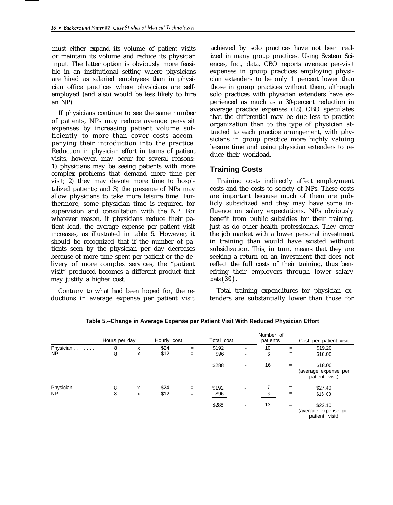must either expand its volume of patient visits or maintain its volume and reduce its physician input. The latter option is obviously more feasible in an institutional setting where physicians are hired as salaried employees than in physician office practices where physicians are selfemployed (and also) would be less likely to hire an NP).

If physicians continue to see the same number of patients, NPs may reduce average per-visit expenses by increasing patient volume sufficiently to more than cover costs accompanying their introduction into the practice. Reduction in physician effort in terms of patient visits, however, may occur for several reasons: 1) physicians may be seeing patients with more complex problems that demand more time per visit; 2) they may devote more time to hospitalized patients; and 3) the presence of NPs may allow physicians to take more leisure time. Furthermore, some physician time is required for supervision and consultation with the NP. For whatever reason, if physicians reduce their patient load, the average expense per patient visit increases, as illustrated in table 5. However, it should be recognized that if the number of patients seen by the physician per day decreases because of more time spent per patient or the delivery of more complex services, the "patient visit" produced becomes a different product that may justify a higher cost.

Contrary to what had been hoped for, the reductions in average expense per patient visit

achieved by solo practices have not been realized in many group practices. Using System Sciences, Inc., data, CBO reports average per-visit expenses in group practices employing physician extenders to be only 1 percent lower than those in group practices without them, although solo practices with physician extenders have experienced as much as a 30-percent reduction in average practice expenses (18). CBO speculates that the differential may be due less to practice organization than to the type of physician attracted to each practice arrangement, with physicians in group practice more highly valuing leisure time and using physician extenders to reduce their workload.

## **Training Costs**

Training costs indirectly affect employment costs and the costs to society of NPs. These costs are important because much of them are publicly subsidized and they may have some influence on salary expectations. NPs obviously benefit from public subsidies for their training, just as do other health professionals. They enter the job market with a lower personal investment in training than would have existed without subsidization. This, in turn, means that they are seeking a return on an investment that does not reflect the full costs of their training, thus benefiting their employers through lower salary costs (30).

Total training expenditures for physician extenders are substantially lower than those for

|           | Hours per day |   | Hourly cost |     | Total cost |                          | Number of<br>_patients |     | Cost per patient visit                            |
|-----------|---------------|---|-------------|-----|------------|--------------------------|------------------------|-----|---------------------------------------------------|
| Physician | 8             | x | \$24        | $=$ | \$192      | $\overline{\phantom{a}}$ | 10                     | $=$ | \$19.20                                           |
| $NP$      | 8             | x | \$12        | $=$ | \$96       | -                        | 6                      | $=$ | \$16.00                                           |
|           |               |   |             |     | \$288      | -                        | 16                     | $=$ | \$18.00<br>(average expense per<br>patient visit) |
| Physician | 8             | x | \$24        | $=$ | \$192      |                          |                        | $=$ | \$27.40                                           |
| $NP$      | 8             | x | \$12        | $=$ | \$96       | -                        | 6                      | =   | \$16.00                                           |
|           |               |   |             |     | \$288      | $\overline{\phantom{a}}$ | 13                     | $=$ | \$22.10<br>(average expense per<br>patient visit) |

**Table 5.--Change in Average Expense per Patient Visit With Reduced Physician Effort**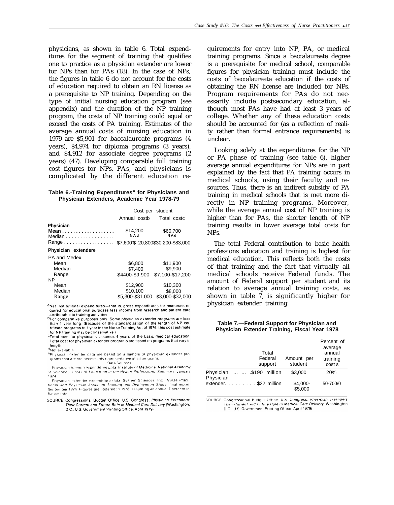physicians, as shown in table 6. Total expenditures for the segment of training that qualifies one to practice as a physician extender are lower for NPs than for PAs (18). In the case of NPs, the figures in table 6 do not account for the costs of education required to obtain an RN license as a prerequisite to NP training. Depending on the type of initial nursing education program (see appendix) and the duration of the NP training program, the costs of NP training could equal or exceed the costs of PA training. Estimates of the average annual costs of nursing education in 1979 are \$5,901 for baccalaureate programs (4 years), \$4,974 for diploma programs (3 years), and \$4,912 for associate degree programs (2 years) (47). Developing comparable full training cost figures for NPs, PAs, and physicians is complicated by the different education re-

#### **Table 6.-Training Expenditures" for Physicians and Physician Extenders, Academic Year 1978-79**

|                             | Annual costb     | Cost per student<br>Total costc      |
|-----------------------------|------------------|--------------------------------------|
| Physician<br>Mean<br>Median | \$14,200<br>NAd  | \$60,700<br>NAd                      |
|                             |                  | \$7,600 \$20,800 \$30,200 - \$83,000 |
| Physician extendere         |                  |                                      |
| PA and Medex                |                  |                                      |
| Mean                        | \$6,800          | \$11,900                             |
| Median                      | \$7.400          | \$9,900                              |
| Range                       | \$4400-\$9.900   | \$7,100-\$17,200                     |
| <b>NP</b>                   |                  |                                      |
| Mean                        | \$12.900         | \$10,300                             |
| Median                      | \$10,100         | \$8,000                              |
| Range                       | \$5.300-\$31.000 | \$3.000-\$32.000                     |

aNet institutional expenditures-that is, gross expenditures for resources re quired for educational purposes less income from research and patient care attributable to training activities.

bFor comparative purposes only. Some physician extender programs are less than 1 year long. (Because of the standardization of the length of NP cer tificate programs to 1 year in the Nurse Training Act of 1976, this cost estimate for NP training may be conservative.)

CTotal cost for physicians assumes 4 years of the basic medical education Total cost for physician extender programs are based on programs that vary in length.

<sup>d</sup>Not available

PPhysician extender data are based on a sample of physician extender programs that are not necessarily representative of all programs

Data Sources Physician training expenditure data. Institute of Medicine, National Academy

of Sciences. Costs of Education in the Health Professions. Summary. January 1974

Physician extender expenditure data. System Sciences. Inc., Nurse Practi tioner and Physician Assistant Training and Deployment Study. final report,<br>September 1976. Figures are updated to 1978. assuming an annual 7-percent inflation rate

SOURCE: Congressional Budget Office, U.S. Congress, Physician Extenders: Their Current and Future Role in Medical Care Delivery (Washington, D.C.: U.S. Government Printing Office, April 1979).

quirements for entry into NP, PA, or medical training programs. Since a baccalaureate degree is a prerequisite for medical school, comparable figures for physician training must include the costs of baccalaureate education if the costs of obtaining the RN license are included for NPs. Program requirements for PAs do not necessarily include postsecondary education, although most PAs have had at least 3 years of college. Whether any of these education costs should be accounted for (as a reflection of reality rather than formal entrance requirements) is unclear.

Looking solely at the expenditures for the NP or PA phase of training (see table 6), higher average annual expenditures for NPs are in part explained by the fact that PA training occurs in medical schools, using their faculty and resources. Thus, there is an indirect subsidy of PA training in medical schools that is met more directly in NP training programs. Moreover, while the average annual cost of NP training is higher than for PAs, the shorter length of NP training results in lower average total costs for NPs.

The total Federal contribution to basic health professions education and training is highest for medical education. This reflects both the costs of that training and the fact that virtually all medical schools receive Federal funds. The amount of Federal support per student and its relation to average annual training costs, as shown in table 7, is significantly higher for physician extender training.

#### **Table 7.—Federal Support for Physician and Physician Extender Training, Fiscal Year 1978**

|                                              | Total<br>Federal<br>support | Amount per<br>student | Percent of<br>average<br>annual<br>training<br>cost s |
|----------------------------------------------|-----------------------------|-----------------------|-------------------------------------------------------|
| Physician.   .\$190 million<br>Physician     |                             | \$3,000               | 20%                                                   |
| extender. $\ldots$ , $\ldots$ , \$22 million |                             | \$4,000-<br>\$5,000   | 50-700/0                                              |

SOURCE Congressional Budget Office, U.S. Congress, Physician Extenders Their Current and Future Role in Medical Care Delivery (Washington D.C. U.S. Government Printing Office, April 1979)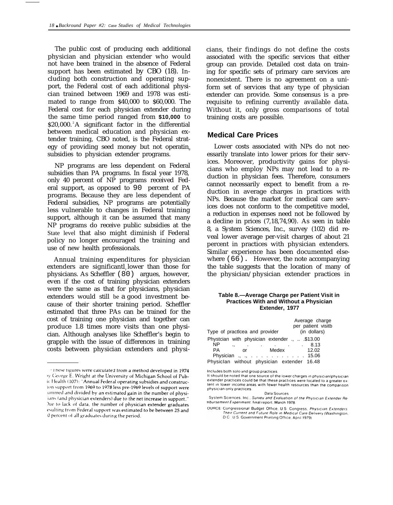The public cost of producing each additional physician and physician extender who would not have been trained in the absence of Federal support has been estimated by CBO (18). Including both construction and operating support, the Federal cost of each additional physician trained between 1969 and 1978 was estimated to range from \$40,000 to \$60,000. The Federal cost for each physician extender during the same time period ranged from **\$10,000** to \$20,000.<sup>2</sup>A significant factor in the differential between medical education and physician extender training, CBO noted, is the Federal strategy of providing seed money but not operating subsidies to physician extender programs.

NP programs are less dependent on Federal subsidies than PA programs. In fiscal year 1978, only 40 percent of NP programs received Federal support, as opposed to 90 percent of PA programs. Because they are less dependent of Federal subsidies, NP programs are potentially less vulnerable to changes in Federal training support, although it can be assumed that many NP programs do receive public subsidies at the State level that also might diminish if Federal policy no longer encouraged the training and use of new health professionals.

Annual training expenditures for physician extenders are significantl lower than those for physicians. As Scheffler (80) argues, however, even if the cost of training physician extenders were the same as that for physicians, physician extenders would still be a good investment because of their shorter training period. Scheffler estimated that three PAs can be trained for the cost of training one physician and together can produce 1.8 times more visits than one physician. Although analyses like Scheffler's begin to grapple with the issue of differences in training costs between physician extenders and physicians, their findings do not define the costs associated with the specific services that either group can provide. Detailed cost data on training for specific sets of primary care services are nonexistent. There is no agreement on a uniform set of services that any type of physician extender can provide. Some consensus is a prerequisite to refining currently available data. Without it, only gross comparisons of total training costs are possible.

#### **Medical Care Prices**

Lower costs associated with NPs do not necessarily translate into lower prices for their services. Moreover, productivity gains for physicians who employ NPs may not lead to a reduction in physician fees. Therefore, consumers cannot necessarily expect to benefit from a reduction in average charges in practices with NPs. Because the market for medical care services does not conform to the competitive model, a reduction in expenses need not be followed by a decline in prices (7,18,74,90). As seen in table 8, a System Sciences, Inc., survey (102) did reveal lower average per-visit charges of about 21 percent in practices with physician extenders. Similar experience has been documented elsewhere (66). However, the note accompanying the table suggests that the location of many of the physician/physician extender practices in

#### **Table 8.—Average Charge per Patient Visit in Practices With and Without a Physician Extender, 1977**

| Type of practicea and provider                 |       | Average charge<br>per patient visitb<br>(in dollars) |
|------------------------------------------------|-------|------------------------------------------------------|
| Phystcian with physician extender .,  .\$13.00 |       |                                                      |
| ΝP<br>٠,                                       |       | 8.13                                                 |
| PA<br>or                                       | Medex | 12.02                                                |
| Physician ., ., 15.06                          |       |                                                      |
| Physiclan without physician extender 16.48     |       |                                                      |

Includes both solo and group practices.

Data Sources

System Sciences, Inc., Survey and Evaluation of the Physician Extender Renbursement Experiment, final report, March 1978.

OURCE: Congressional Budget Office, U.S. Congress, Physician Extenders Their Current and Future Role in Medical Care Delivery (Washington, D.C.: U.S. Government Printing Office, April 1979).

<sup>&</sup>lt;sup>+</sup>1 hese figures were calculated from a method developed in 1974 by George E. Wright at the University of Michigan School of Pubic Health (107): "Annual Federal operating subsidies and construcion support from 1969 to 1978 less pre-1969 levels of support were ummed and divided by an estimated gain in the number of physiians (and physician extenders) due to the net increase in support." Due to lack of data, the number of physician extender graduates esulting from Federal support was estimated to be between 25 and 0 percent of all graduates during the period.

It should be noted that one source of the lower charges in physician/physician extender practices could be that these practices were located to a greater extent in lower income areas with fewer health resources than the comparison physician-only practices.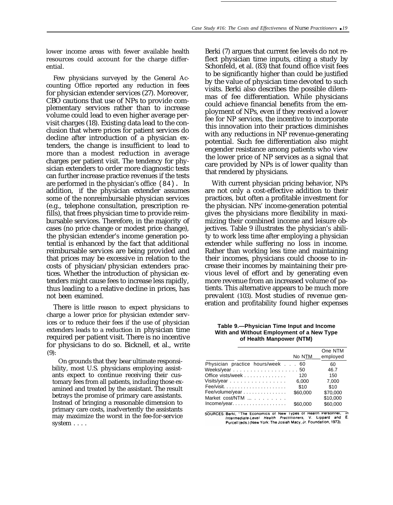lower income areas with fewer available health resources could account for the charge differential.

Few physicians surveyed by the General Accounting Office reported any reduction in fees for physician extender services (27). Moreover, CBO cautions that use of NPs to provide complementary services rather than to increase volume could lead to even higher average pervisit charges (18). Existing data lead to the conclusion that where prices for patient services do decline after introduction of a physician extenders, the change is insufficient to lead to more than a modest reduction in average charges per patient visit. The tendency for physician extenders to order more diagnostic tests can further increase practice revenues if the tests are performed in the physician's office (84). In addition, if the physician extender assumes some of the nonreimbursable physician services (e.g., telephone consultation, prescription refills), that frees physician time to provide reimbursable services. Therefore, in the majority of cases (no price change or modest price change), the physician extender's income generation potential is enhanced by the fact that additional reimbursable services are being provided and that prices may be excessive in relation to the costs of physician/physician extenders practices. Whether the introduction of physician extenders might cause fees to increase less rapidly, thus leading to a relative decline in prices, has not been examined.

There is little reason to expect physicians to charge a lower price for physician extender services or to reduce their fees if the use of physician extenders leads to a reduction in physician time required per patient visit. There is no incentive for physicians to do so. Bicknell, et al., write (9):

On grounds that they bear ultimate responsibility, most U.S. physicians employing assistants expect to continue receiving their customary fees from all patients, including those examined and treated by the assistant. The result betrays the promise of primary care assistants. Instead of bringing a reasonable dimension to primary care costs, inadvertently the assistants may maximize the worst in the fee-for-service system . . . .

Berki (7) argues that current fee levels do not reflect physician time inputs, citing a study by Schonfeld, et al. (83) that found office visit fees to be significantly higher than could be justified by the value of physician time devoted to such visits. Berki also describes the possible dilemmas of fee differentiation. While physicians could achieve financial benefits from the employment of NPs, even if they received a lower fee for NP services, the incentive to incorporate this innovation into their practices diminishes with any reductions in NP revenue-generating potential. Such fee differentiation also might engender resistance among patients who view the lower price of NP services as a signal that care provided by NPs is of lower quality than that rendered by physicians.

With current physician pricing behavior, NPs are not only a cost-effective addition to their practices, but often a profitable investment for the physician. NPs' income-generation potential gives the physicians more flexibility in maximizing their combined income and leisure objectives. Table 9 illustrates the physician's ability to work less time after employing a physician extender while suffering no loss in income. Rather than working less time and maintaining their incomes, physicians could choose to increase their incomes by maintaining their previous level of effort and by generating even more revenue from an increased volume of patients. This alternative appears to be much more prevalent (103). Most studies of revenue generation and profitability found higher expenses

**Table 9.—Physician Time Input and Income With and Without Employment of a New Type of Health Manpower (NTM)**

|                                                                                                                                                                                        | No NTM   | One NTM<br>employed |
|----------------------------------------------------------------------------------------------------------------------------------------------------------------------------------------|----------|---------------------|
| Physician practice hours/week 60                                                                                                                                                       |          | 60                  |
| Weeks/year 50                                                                                                                                                                          |          | 46.7                |
| Office vists/week                                                                                                                                                                      | 120      | 150                 |
| Visits/year                                                                                                                                                                            | 6.000    | 7.000               |
|                                                                                                                                                                                        | \$10     | \$10                |
| Fee/volume/year                                                                                                                                                                        | \$60,000 | \$70.000            |
| Market cost/NTM                                                                                                                                                                        |          | \$10,000            |
| Income/year.                                                                                                                                                                           | \$60,000 | \$60,000            |
| SOURCES: Berki, "The Economics of New Types of Health Personnel," in<br>المتحرم المستحققة الملازمات والمتحرجات والمتحرق والمتحرق والمتحرق والمتحرق والمتحرق والمتحرق والمتحرق والمتحرق |          |                     |

Intermediate-Level Health Practitioners, Lippard Purcell (eds.) (New York: The Josiah Macy, Jr. Foundation, 1973).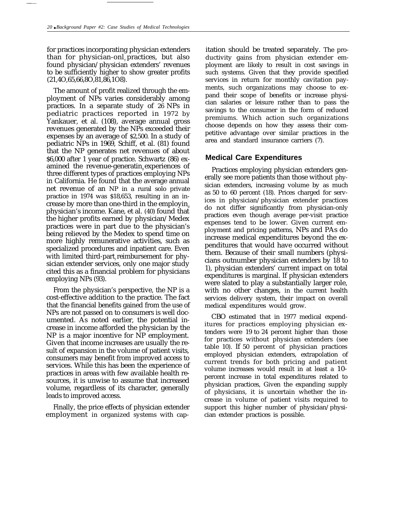for practices incorporating physician extenders than for physician-onl<sub>v</sub> practices, but also found physician/physician extenders' revenues to be sufficiently higher to show greater profits (21,4O,65,66,8O,81,86,1O8).

The amount of profit realized through the employment of NPs varies considerably among practices. In a separate study of 26 NPs in pediatric practices reported in 1972 by Yankauer, et al. (108), average annual gross revenues generated by the NPs exceeded their expenses by an average of \$2,500. In a study of pediatric NPs in 1969, Schiff, et al. (81) found that the NP generates net revenues of about \$6,000 after 1 year of practice. Schwartz (86) examined the revenue-generatin experiences of three different types of practices employing NPs in California. He found that the average annual net revenue of an NP in a rural solo private practice in 1974 was \$18,653, resulting in an increase by more than one-third in the employin<sup>g</sup> physician's income. Kane, et al. (40) found that the higher profits earned by physician/Medex practices were in part due to the physician's being relieved by the Medex to spend time on more highly remunerative activities, such as specialized procedures and inpatient care. Even with limited third-part reimbursement for physician extender services, only one major study cited this as a financial problem for physicians employing NPs (93).

From the physician's perspective, the NP is a cost-effective addition to the practice. The fact that the financial benefits gained from the use of NPs are not passed on to consumers is well documented. As noted earlier, the potential increase in income afforded the physician by the NP is a major incentive for NP employment. Given that income increases are usually the result of expansion in the volume of patient visits, consumers may benefit from improved access to services. While this has been the experience of practices in areas with few available health resources, it is unwise to assume that increased volume, regardless of its character, generally leads to improved access.

Finally, the price effects of physician extender employment in organized systems with cap-

itation should be treated separately. The productivity gains from physician extender employment are likely to result in cost savings in such systems. Given that they provide specified services in return for monthly cavitation payments, such organizations may choose to expand their scope of benefits or increase physician salaries or leisure rather than to pass the savings to the consumer in the form of reduced premiums. Which action such organizations choose depends on how they assess their competitive advantage over similar practices in the area and standard insurance carriers (7).

## **Medical Care Expenditures**

Practices employing physician extenders generally see more patients than those without physician extenders, increasing volume by as much as 50 to 60 percent (18). Prices charged for services in physician/physician extender practices do not differ significantly from physician-only practices even though average per-visit practice expenses tend to be lower. Given current employment and pricing patterns, NPs and PAs do increase medical expenditures beyond the expenditures that would have occurred without them. Because of their small numbers (physicians outnumber physician extenders by 18 to 1), physician extenders' current impact on total expenditures is marginal. If physician extenders were slated to play a substantially larger role, with no other changes, in the current health services delivery system, their impact on overall medical expenditures would grow.

CBO estimated that in 1977 medical expenditures for practices employing physician extenders were 19 to 24 percent higher than those for practices without physician extenders (see table 10). If 50 percent of physician practices employed physician extenders, extrapolation of current trends for both pricing and patient volume increases would result in at least a 10 percent increase in total expenditures related to physician practices, Given the expanding supply of physicians, it is uncertain whether the increase in volume of patient visits required to support this higher number of physician/physician extender practices is possible.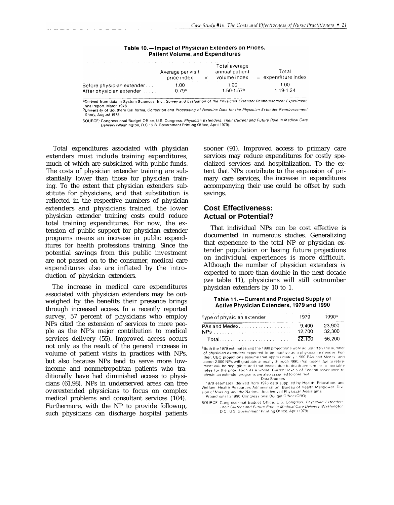| the company of the company of the company of the company of the company of the company of the company of the company of the company of the company of the company of the company of the company of the company of the company | Average per visit<br>price index                          | Total average<br>annual patient<br>volume index | Total<br>$=$ expenditure index |
|-------------------------------------------------------------------------------------------------------------------------------------------------------------------------------------------------------------------------------|-----------------------------------------------------------|-------------------------------------------------|--------------------------------|
| Before physician extender<br>After physician extender [1, 1, 1]                                                                                                                                                               | the contract of the contract of the con-<br>1.00<br>0.79a | 1.00<br>$1.50 - 1.57$ <sup>b</sup>              | 1.00<br>$1.19 - 1.24$          |

#### Table 10.-Impact of Physician Extenders on Prices, **Patient Volume, and Expenditures**

<sup>2</sup>Derived from data in System Sciences, Inc., Survey and Evaluation of the Physician Extender Reimbursement Experiment, final report, March 1978 This report of Southern California, Collection and Processing of Baseline Data for the Physician Extender Reimbursement Study, August 1978.

SOURCE: Congressional Budget Office, U.S. Congress. Physician Extenders: Their Current and Future Role in Medical Care<br>Delivery (Washington, D.C.: U.S. Government Printing Office, April 1979).

Total expenditures associated with physician extenders must include training expenditures, much of which are subsidized with public funds. The costs of physician extender training are substantially lower than those for physician training. To the extent that physician extenders substitute for physicians, and that substitution is reflected in the respective numbers of physician extenders and physicians trained, the lower physician extender training costs could reduce total training expenditures. For now, the extension of public support for physician extender programs means an increase in public expenditures for health professions training. Since the potential savings from this public investment are not passed on to the consumer, medical care expenditures also are inflated by the introduction of physician extenders.

The increase in medical care expenditures associated with physician extenders may be outweighed by the benefits their presence brings through increased access. In a recently reported survey, 57 percent of physicians who employ NPs cited the extension of services to more people as the NP's major contribution to medical services delivery (55). Improved access occurs not only as the result of the general increase in volume of patient visits in practices with NPs, but also because NPs tend to serve more lowincome and nonmetropolitan patients who traditionally have had diminished access to physicians (61,98). NPs in underserved areas can free overextended physicians to focus on complex medical problems and consultant services (104). Furthermore, with the NP to provide followup, such physicians can discharge hospital patients

sooner (91). Improved access to primary care services may reduce expenditures for costly specialized services and hospitalization. To the extent that NPs contribute to the expansion of primary care services, the increase in expenditures accompanying their use could be offset by such savings.

# **Cost Effectiveness: Actual or Potential?**

That individual NPs can be cost effective is documented in numerous studies. Generalizing that experience to the total NP or physician extender population or basing future projections on individual experiences is more difficult. Although the number of physician extenders *is* expected to more than double in the next decade (see table 11), physicians will still outnumber physician extenders by 10 to 1.

#### Table 11.-Current and Projected Supply of Active Physician Extenders, 1979 and 1990

| state of the state of the state of the state of the state of the state of the state of the state of the state of<br>Type of physician extender | 1979            | 1990a            |
|------------------------------------------------------------------------------------------------------------------------------------------------|-----------------|------------------|
|                                                                                                                                                | 9.400<br>12.700 | 23.900<br>32.300 |
| Total                                                                                                                                          | 22.100          | 56.200           |

aBoth the 1979 estimates and the 1990 projections were adjusted by the number of physician extenders expected to be inactive as a physician extender. Further, CBO projections assume that approximately 1.500 PAs and Medex, and about 2.000 NPs will graduate annually through 1990; that losses due to retirement will be nectigible; and that losses due to death are similar to mortality rates for the population as a whole. Current levels of Federal assistance to physician extender programs are also assumed to continue Data Sources

1979 estimates derived from 1978 data supplied by Health. Education, and Welfare, Health Resources Administration, Bureau of Health Manpower. Division of Nursing, and the National Academy of Physician Assistants

Projections to 1990: Congressional Budget Office (CBO)

SOURCE. Congressional Budget Office. U.S. Congress. Physician Extenders Their Current and Future Role in Medical Care Delivery (Washington, D.C.: U.S. Government Printing Office, April 1979)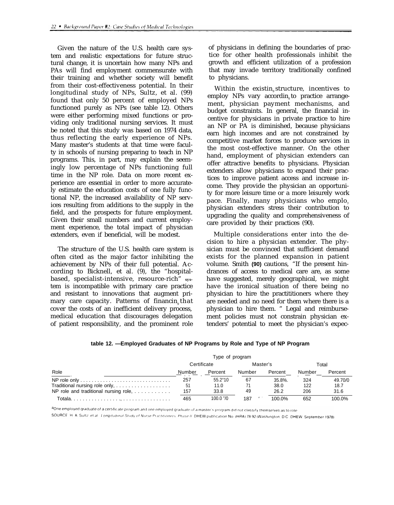Given the nature of the U.S. health care system and realistic expectations for future structural change, it is uncertain how many NPs and PAs will find employment commensurate with their training and whether society will benefit from their cost-effectiveness potential. In their longitudinal study of NPs, Sultz, et al. (99) found that only 50 percent of employed NPs functioned purely as NPs (see table 12). Others were either performing mixed functions or providing only traditional nursing services. It must be noted that this study was based on 1974 data, thus reflecting the early experience of NPs. Many master's students at that time were faculty in schools of nursing preparing to teach in NP programs. This, in part, may explain the seemingly low percentage of NPs functioning full time in the NP role. Data on more recent experience are essential in order to more accurately estimate the education costs of one fully functional NP, the increased availability of NP services resulting from additions to the supply in the field, and the prospects for future employment. Given their small numbers and current employment experience, the total impact of physician extenders, even if beneficial, will be modest.

The structure of the U.S. health care system is often cited as the major factor inhibiting the achievement by NPs of their full potential. According to Bicknell, et al. (9), the "hospitalbased, specialist-intensive, resource-rich" **sys**tem is incompatible with primary care practice and resistant to innovations that augment primary care capacity. Patterns of financin, that cover the costs of an inefficient delivery process, medical education that discourages delegation of patient responsibility, and the prominent role

of physicians in defining the boundaries of practice for other health professionals inhibit the growth and efficient utilization of a profession that may invade territory traditionally confined to physicians.

Within the existin structure, incentives to employ NPs vary accordin to practice arrangement, physician payment mechanisms, and budget constraints. In general, the financial incentive for physicians in private practice to hire an NP or PA is diminished, because physicians earn high incomes and are not constrained by competitive market forces to produce services in the most cost-effective manner. On the other hand, employment of physician extenders can offer attractive benefits to physicians. Physician extenders allow physicians to expand their practices to improve patient access and increase income. They provide the physician an opportunity for more leisure time or a more leisurely work pace. Finally, many physicians who emplo physician extenders stress their contribution to upgrading the quality and comprehensiveness of care provided by their practices (90).

Multiple considerations enter into the decision to hire a physician extender. The physician must be convinced that sufficient demand exists for the planned expansion in patient volume. Smith **(90)** cautions, "If the present hindrances of access to medical care are, as some have suggested, merely geographical, we might have the ironical situation of there being no physician to hire the practititioners where they are needed and no need for them where there is a physician to hire them. " Legal and reimbursement policies must not constrain physician extenders' potential to meet the physician's expec-

|                                                  |             | Type of program  |                 |         |        |         |
|--------------------------------------------------|-------------|------------------|-----------------|---------|--------|---------|
|                                                  | Certificate |                  | Master's        |         | Total  |         |
| Role                                             | Number      | Percent          | Number          | Percent | Number | Percent |
|                                                  | 257         | $55.2^{\circ}10$ | 67              | 35.8%.  | 324    | 49.70/0 |
| Traditional nursing role only,                   | -51         | 11.0             |                 | 38.0    | 122    | 18.7    |
| NP role and traditional nursing role, $\ldots$ , | 157         | 33.8             | 49              | 26.2    | 206    | 31.6    |
|                                                  | 465         | $100.0$ "/0      | 187<br>$\cdots$ | 100.0%  | 652    | 100.0%  |

| table 12. -Employed Graduates of NP Programs by Role and Type of NP Program |  |  |  |
|-----------------------------------------------------------------------------|--|--|--|
|                                                                             |  |  |  |

aOne employed graduate of a certificate program and one employed graduate of a master's program did not classify themselves as to role

SOURCE H. A. Sultz, et al. Longitudinal Study of Nurse Practitioners. Phase II: DHEW publication No. (HRA) 78-92 (Washington, D.C., DHEW, September 1978).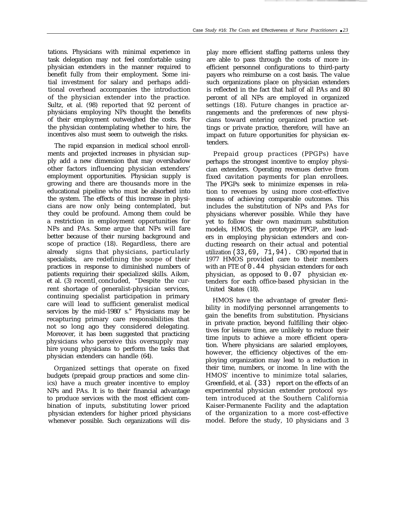tations. Physicians with minimal experience in task delegation may not feel comfortable using physician extenders in the manner required to benefit fully from their employment. Some initial investment for salary and perhaps additional overhead accompanies the introduction of the physician extender into the practice. Sultz, et al. (98) reported that 92 percent of physicians employing NPs thought the benefits of their employment outweighed the costs. For the physician contemplating whether to hire, the incentives also must seem to outweigh the risks.

The rapid expansion in medical school enrollments and projected increases in physician supply add a new dimension that may overshadow other factors influencing physician extenders' employment opportunities. Physician supply is growing and there are thousands more in the educational pipeline who must be absorbed into the system. The effects of this increase in physicians are now only being contemplated, but they could be profound. Among them could be a restriction in employment opportunities for NPs and PAs. Some argue that NPs will fare better because of their nursing background and scope of practice (18). Regardless, there are already signs that physicians, particularly specialists, are redefining the scope of their practices in response to diminished numbers of patients requiring their specialized skills. Aiken, et al. (3) recentl concluded, "Despite the current shortage of generalist-physician services, continuing specialist participation in primary care will lead to sufficient generalist medical services by the mid-1980' s." Physicians may be recapturing primary care responsibilities that not so long ago they considered delegating. Moreover, it has been suggested that practicing physicians who perceive this oversupply may hire young physicians to perform the tasks that physician extenders can handle (64).

Organized settings that operate on fixed budgets (prepaid group practices and some clinics) have a much greater incentive to employ NPs and PAs. It is to their financial advantage to produce services with the most efficient combination of inputs, substituting lower priced physician extenders for higher priced physicians whenever possible. Such organizations will dis-

play more efficient staffing patterns unless they are able to pass through the costs of more inefficient personnel configurations to third-party payers who reimburse on a cost basis. The value such organizations place on physician extenders is reflected in the fact that half of all PAs and 80 percent of all NPs are employed in organized settings (18). Future changes in practice arrangements and the preferences of new physicians toward entering organized practice settings or private practice, therefore, will have an impact on future opportunities for physician extenders.

Prepaid group practices (PPGPs) have perhaps the strongest incentive to employ physician extenders. Operating revenues derive from fixed cavitation payments for plan enrollees. The PPGPs seek to minimize expenses in relation to revenues by using more cost-effective means of achieving comparable outcomes. This includes the substitution of NPs and PAs for physicians wherever possible. While they have yet to follow their own maximum substitution models, HMOS, the prototype PPGP, are leaders in employing physician extenders and conducting research on their actual and potential utilization (33,69, 71,94). CBO reported that in 1977 HMOS provided care to their members with an FTE of 0.44 physician extenders for each physician, as opposed to 0.07 physician extenders for each office-based physician in the United States (18).

HMOS have the advantage of greater flexibility in modifying personnel arrangements to gain the benefits from substitution. Physicians in private practice, beyond fulfilling their objectives for leisure time, are unlikely to reduce their time inputs to achieve a more efficient operation. Where physicians are salaried employees, however, the efficiency objectives of the employing organization may lead to a reduction in their time, numbers, or income. In line with the HMOS' incentive to minimize total salaries, Greenfield, et al. (33) report on the effects of an experimental physician extender protocol system introduced at the Southern California Kaiser-Permanente Facility and the adaptation of the organization to a more cost-effective model. Before the study, 10 physicians and 3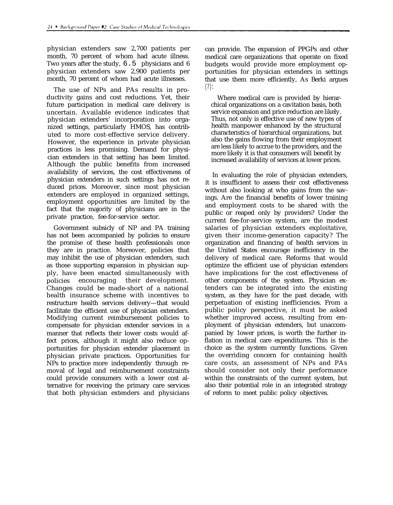physician extenders saw 2,700 patients per month, 70 percent of whom had acute illness. Two years after the study, 6.5 physicians and 6 physician extenders saw 2,900 patients per month, 70 percent of whom had acute illnesses.

The use of NPs and PAs results in productivity gains and cost reductions. Yet, their future participation in medical care delivery is uncertain. Available evidence indicates that physician extenders' incorporation into organized settings, particularly HMOS, has contributed to more cost-effective service delivery. However, the experience in private physician practices is less promising. Demand for physician extenders in that setting has been limited. Although the public benefits from increased availability of services, the cost effectiveness of physician extenders in such settings has not reduced prices. Moreover, since most physician extenders are employed in organized settings, employment opportunities are limited by the fact that the majority of physicians are in the private practice, fee-for-service sector.

Government subsicly of NP and PA training has not been accompanied by policies to ensure the promise of these health professionals once they are in practice. Moreover, policies that may inhibit the use of physician extenders, such as those supporting expansion in physician supply, have been enacted simultaneously with policies encouraging their development. Changes could be made-short of a national health insurance scheme with incentives to restructure health services delivery—that would facilitate the efficient use of physician extenders. Modifying current reimbursement policies to compensate for physician extender services in a manner that reflects their lower costs would affect prices, although it might also reduce opportunities for physician extender placement in physician private practices. Opportunities for NPs to practice more independently through removal of legal and reimbursement constraints could provide consumers with a lower cost alternative for receiving the primary care services that both physician extenders and physicians

can provide. The expansion of PPGPs and other medical care organizations that operate on fixed budgets would provide more employment opportunities for physician extenders in settings that use them more efficiently, As Berki argues (7):

Where medical care is provided by hierarchical organizations on a cavitation basis, both service expansion and price reduction are likely. Thus, not only is effective use of new types of health manpower enhanced by the structural characteristics of hierarchical organizations, but also the gains flowing from their employment are less likely to accrue to the providers, and the more likely it is that consumers will benefit by increased availability of services at lower prices.

In evaluating the role of physician extenders, it is insufficient to assess their cost effectiveness without also looking at who gains from the savings. Are the financial benefits of lower training and employment costs to be shared with the public or reaped only by providers? Under the current fee-for-service system, are the modest salaries of physician extenders exploitative, given their income-generation capacity? The organization and financing of health services in the United States encourage inefficiency in the delivery of medical care. Reforms that would optimize the efficient use of physician extenders have implications for the cost effectiveness of other components of the system. Physician extenders can be integrated into the existing system, as they have for the past decade, with perpetuation of existing inefficiencies. From a public policy perspective, it must be asked whether improved access, resulting from employment of physician extenders, but unaccompanied by 1ower prices, is worth the further inflation in medical care expenditures. This is the choice as the system currently functions. Given the overriding concern for containing health care costs, an assessment of NPs and PAs should consider not only their performance within the constraints of the current system, but also their potential role in an integrated strategy of reform to meet public policy objectives.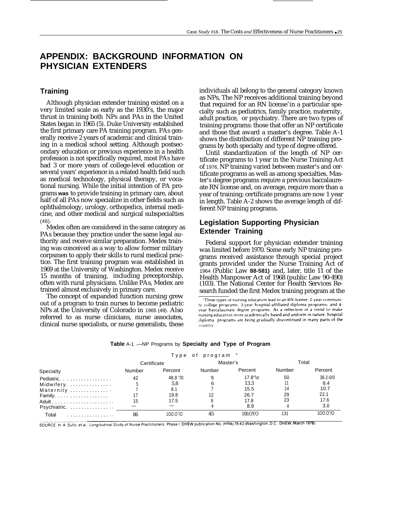# **APPENDIX: BACKGROUND INFORMATION ON PHYSICIAN EXTENDERS**

### **Training**

Although physician extender training existed on a very limited scale as early as the 1930's, the major thrust in training both NPs and PAs in the United States began in 1965 (5). Duke University established the first primary care PA training program. PAs generally receive 2 years of academic and clinical training in a medical school setting. Although postsecondary education or previous experience in a health profession is not specifically required, most PAs have had 3 or more years of college-level education or several years' experience in a related health field such as medical technology, physical therapy, or vocational nursing. While the initial intention of PA programs **was** to provide training in primary care, about half of all PAs now specialize in other fields such as ophthalmology, urology, orthopedics, internal medicine, and other medical and surgical subspecialties (46).

Medex often are considered in the same category as PAs because they practice under the same legal authority and receive similar preparation. Medex training was conceived as a way to allow former military corpsmen to apply their skills to rural medical practice. The first training program was established in 1969 at the University of Washington. Medex receive 15 months of training, including preceptorship, often with rural physicians. Unlike PAs, Medex are trained almost exclusively in primary care.

The concept of expanded function nursing grew out of a program to train nurses to become pediatric NPs at the University of Colorado in 1965 (49). Also referred to as nurse clinicians, nurse associates, clinical nurse specialists, or nurse generalists, these individuals all belong to the general category known as NPs, The NP receives additional training beyond that required for an RN license<sup>3</sup> in a particular specialty such as pediatrics, family practice, maternity, adult practice, or psychiatry. There are two types of training programs: those that offer an NP certificate and those that award a master's degree. Table A-1 shows the distribution of different NP training programs by both specialty and type of degree offered.

Until standardization of the length of NP certificate programs to 1 year in the Nurse Training Act of 1976, NP training varied between master's and certificate programs as well as among specialties. Master's degree programs require a previous baccalaureate RN license and, on average, require more than a year of training; certificate programs are now 1 year in length. Table A-2 shows the average length of different NP training programs.

# **Legislation Supporting Physician Extender Training**

Federal support for physician extender training was limited before 1970. Some early NP training programs received assistance through special project grants provided under the Nurse Training Act of 1964 (Public Law **88-581)** and, later, title 11 of the Health Manpower Act of 1968 (public Law 90-490) (103). The National Center for Health Services Research funded the first Medex training program at the

<sup>3</sup>Three types of nursing education lead to an RN license: 2-year community college programs; 3-year hospital-affiliated diploma programs; and 4vear baccalaureate degree programs. As a reflection of a trend to make nursing education more academically based and uniform in nature, hospital diploma programs are being gradually discontinued in many parts of the country.

|              |             | Type of program " |        |                   |        |              |
|--------------|-------------|-------------------|--------|-------------------|--------|--------------|
| Specialty    | Certificate |                   |        | Master's          | Total  |              |
|              | Number      | Percent           | Number | Percent           | Number | Percent      |
| Pediatric.   | 42          | 48.8 "/0          | ۰8     | $17.8^{\circ}$ \o | 50     | $38.2 - 0/0$ |
| Midwifery.   |             | 5.8               |        | 13.3              |        | 8.4          |
| Maternity    |             | 8.1               |        | 15.5              | 14     | 10.7         |
|              |             | 19.8              |        | 26.7              | 29     | 22.1         |
|              | 15          | 17.5              |        | 17.8              | 23     | 17.6         |
| Psychiatric. |             |                   |        | 8.9               |        | 3.0          |
| Total<br>.   | 86          | 100.0 $\%$        | 45     | 100.OYO           | 131    | $100.0\%$    |

#### **Table** A-1 .—NP Programs by **Specialty and Type of Program**

SOURCE: H. A. Sultz, et al., Longitudinal Study of Nurse Practitioners: Phase I, DHEW publication No. (HRA) 76-43 (Washington, D.C.: DHEW, March 1976).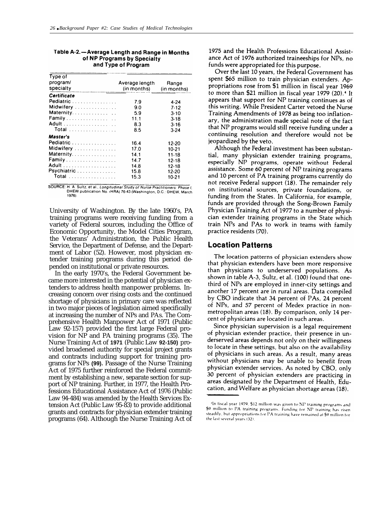| Type of     |                |             |
|-------------|----------------|-------------|
| program/    | Average length | Range       |
| specialty   | (in months)    | (in months) |
| Certificate |                |             |
| Pediatric   | 7.9            | $4 - 24$    |
| Midwifery   | 9.0            | $7-12$      |
| Maternity.  | 5.9            | $3-10$      |
| Family      | 11.1           | $3 - 18$    |
|             | 8.3            | $3-16$      |
| Total       | 8.5            | 3.24        |
| Master's    |                |             |
| Pediatric   | 16.4           | 12-20       |
| Midwifery   | 17.0           | $10-21$     |
| Maternity.  | 14.1           | $11-18$     |
| Family      | 14.7           | 12-18       |
|             | 14.8           | 12-18       |
| Psychiatric | 15.8           | 12-20       |
| Total       | 15.3           | 10-21       |
|             |                |             |

#### Table A-2.-Average Length and Range in Months of NP Programs by Specialty and Type of Program

SOURCE: H. A. Sultz, et al., Longitudinal Study of Nurse Practitioners: Phase I DHEW publication No. (HRA) 76-43 (Washington, D.C.: DHEW, March 1976)

University of Washington. By the late 1960's, PA training programs were receiving funding from a variety of Federal sources, including the Office of Economic Opportunity, the Model Cities Program, the Veterans' Administration, the Public Health Service, the Department of Defense, and the Department of Labor (52). However, most physician extender training programs during this period depended on institutional or private resources.

In the early 1970's, the Federal Government became more interested in the potential of physician extenders to address health manpower problems. Increasing concern over rising costs and the continued shortage of physicians in primary care was reflected in two major pieces of legislation aimed specifically at increasing the number of NPs and PAs. The Comprehensive Health Manpower Act of 1971 (Public Law 92-157) provided the first large Federal provision for NP and PA training programs (35). The Nurse Training Act of **1971** (Public Law **92-150)** provided broadened authority for special project grants and contracts including support for training programs for NPs **(99).** Passage of the Nurse Training Act of 1975 further reinforced the Federal commitment by establishing a new, separate section for support of NP training. Further, in 1977, the Health Professions Educational Assistance Act of 1976 (Public Law 94-484) was amended by the Health Services Extension Act (Public Law 95-83) to provide additional grants and contracts for physician extender training programs (64). Although the Nurse Training Act of

1975 and the Health Professions Educational Assistance Act of 1976 authorized traineeships for NPs, no funds were appropriated for this purpose.

Over the last 10 years, the Federal Government has spent \$65 million to train physician extenders. Appropriations rose from \$1 million in fiscal year 1969 to more than \$21 million in fiscal year 1979 (20).<sup>4</sup> It appears that support for NP training continues as of this writing. While President Carter vetoed the Nurse Training Amendments of 1978 as being too inflationary, the administration made special note of the fact that NP programs would still receive funding under a continuing resolution and therefore would not be jeopardized by the veto.

Although the Federal investment has been substantial, many physician extender training programs, especially NP programs, operate without Federal assistance. Some 60 percent of NP training programs and 10 percent of PA training programs currently do not receive Federal support (18). The remainder rely on institutional sources, private foundations, or funding from the States. In California, for example. funds are provided through the Song-Brown Family Physician Training Act of 1977 to a number of physician extender training programs in the State which train NPs and PAs to work in teams with family practice residents (70).

### **Location Patterns**

The location patterns of physician extenders show that physician extenders have been more responsive than physicians to underserved populations. As shown in table A-3, Sultz, et al. (100) found that onethird of NPs are employed in inner-city settings and another 17 percent are in rural areas. Data compiled by CBO indicate that 34 percent of PAs, 24 percent of NPs, and 57 percent of Medex practice in nonmetropolitan areas (18). By comparison, only 14 percent of physicians are located in such areas.

Since physician supervision is a legal requirement of physician extender practice, their presence in underserved areas depends not only on their willingness to locate in these settings, but also on the availability of physicians in such areas. As a result, many areas without physicians may be unable to benefit from physician extender services. As noted by CBO, only 30 percent of physician extenders are practicing in areas designated by the Department of Health. Education, and Welfare as physician shortage areas (18).

<sup>&</sup>lt;sup>4</sup>In fiscal year 1979, \$12 million was given to NP training programs and \$9 million to PA training programs. Funding for NP training has risen steadily, but appropriations for PA training have remained at \$9 million for the last several years (32).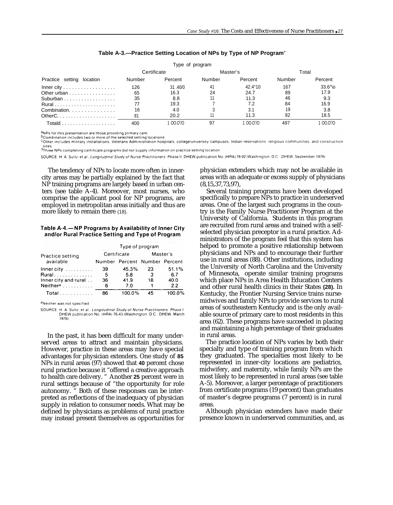|                                                  |             | Type of program |          |                  |        |                 |
|--------------------------------------------------|-------------|-----------------|----------|------------------|--------|-----------------|
|                                                  | Certificate |                 | Master's |                  |        | Total           |
| Practice setting location                        | Number      | Percent         | Number   | Percent          | Number | Percent         |
| Inner city $\dots \dots \dots \dots \dots \dots$ | 126         | 31.40/0         | 41       | $42.4^{\circ}10$ | 167    | $33.6^\circ$ \o |
| Other urban                                      | 65          | 16.3            | 24       | 24.7             | 89     | 17.9            |
| Suburban                                         | 35          | 8.8             |          | 11.3             | 46     | 9.3             |
|                                                  |             | 19.3            |          | 7.2              | 84     | 16.9            |
| Combination.                                     | 16          | 4.0             |          | 3.1              | 19     | 3.8             |
|                                                  | 81          | 20.2            |          | 11.3             | 92     | 18.5            |
|                                                  | 400         | no nºo          | 97       | 00.0%            | 497    | _ററ റ°ഗ         |

#### **Table A-3.—Practice Setting Location of NPs by Type of NP Program<sup>a</sup>**

<sup>a</sup>NPs for this presentation are those providing primary care.

<sup>b</sup>Combination includes two or more of the selected setting locations

<sup>0</sup>Other includes military installations, Veterans Administration hospitals, college/university campuses, Indian reservations, religious communities, and construction

ishes.<br><sup>d</sup>Three NPs completing certificate programs did not supply information on practice setting location

SOURCE: H. A. Sultz, et al., Longitudinal Study of Nurse Practitioners. Phase II, DHEW publication No. (HRA) 78-92 (Washington, D.C.: DHEW. September 1978)

The tendency of NPs to locate more often in innercity areas may be partially explained by the fact that NP training programs are largely based in urban centers (see table A-4). Moreover, most nurses, who comprise the applicant pool for NP programs, are employed in metropolitan areas initially and thus are more likely to remain there (18).

#### Table A-4. - NP Programs by Availability of Inner City and/or Rural Practice Setting and Type of Program

|                                                                                | Type of program |                               |          |        |  |  |  |  |
|--------------------------------------------------------------------------------|-----------------|-------------------------------|----------|--------|--|--|--|--|
| Practice setting<br>available<br>Rural<br>Total<br>aNeither was not specified. |                 | Certificate                   | Master's |        |  |  |  |  |
|                                                                                |                 | Number Percent Number Percent |          |        |  |  |  |  |
| Inner city $\ldots$                                                            | 39              | 45.3%                         | 23       | 51.1%  |  |  |  |  |
|                                                                                | 5               | 5.8                           | 3        | 6.7    |  |  |  |  |
| Inner city and rural                                                           | 36              | 41.9                          | 18       | 40.0   |  |  |  |  |
| Neither <sup>a</sup>                                                           | 6               | 7.0                           |          | 2.2    |  |  |  |  |
|                                                                                | 86              | 100.0%                        | 45       | 100.0% |  |  |  |  |
|                                                                                |                 |                               |          |        |  |  |  |  |

SOURCE: H. A. Sultz, et al., Longitudinal Study of Nurse Practitioners: Phase I DHEW publication No. (HRA) 76-43 (Washington, D.C.: DHEW, March 1976)

In the past, it has been difficult for many underserved areas to attract and maintain physicians. However, practice in these areas may have special advantages for physician extenders. One study of **85** NPs in rural areas (97) showed that **40** percent chose rural practice because it "offered a creative approach to health care delivery. " Another **25** percent were in rural settings because of "the opportunity for role autonomy. " Both of these responses can be interpreted as reflections of the inadequacy of physician supply in relation to consumer needs. What may be defined by physicians as problems of rural practice may instead present themselves as opportunities for

physician extenders which may not be available in areas with an adequate or excess supply of physicians (8,15,37,73,97),

Several training programs have been developed specifically to prepare NPs to practice in underserved areas. One of the largest such programs in the country is the FamiIy Nurse Practitioner Program at the University of California. Students in this program are recruited from rural areas and trained with a selfselected physician preceptor in a rural practice. Administrators of the program feel that this system has helped to promote a positive relationship between physicians and NPs and to encourage their further use in rural areas (88). Other institutions, including the University of North Carolina and the University of Minnesota, operate similar training programs which place NPs in Area Health Education Centers and other rural health clinics in their States **(28).** In Kentucky, the Frontier Nursing Service trains nursemidwives and family NPs to provide services to rural areas of southeastern Kentucky and is the only available source of primary care to most residents in this area (62). These programs have succeeded in placing and maintaining a high percentage of their graduates in rural areas.

The practice location of NPs varies by both their specialty and type of training program from which they graduated. The specialties most likely to be represented in inner-city locations are pediatrics, midwifery, and maternity, while family NPs are the most likely to be represented in rural areas (see table A-5). Moreover, a larger percentage of practitioners from certificate programs (19 percent) than graduates of master's degree programs (7 percent) is in rural areas.

Although physician extenders have made their presence known in underserved communities, and, as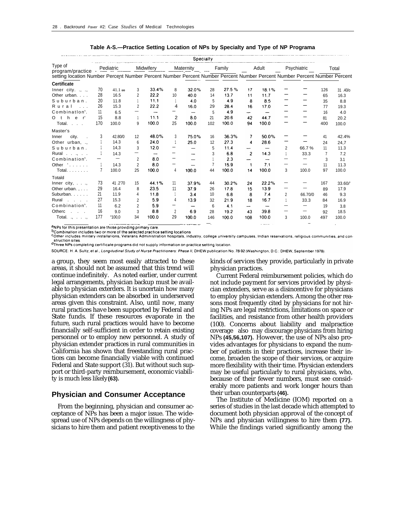|                                                                                                                           |     |                   |                |           |                          |                          | Specialty |        |                |                          |                          |                                |     |         |
|---------------------------------------------------------------------------------------------------------------------------|-----|-------------------|----------------|-----------|--------------------------|--------------------------|-----------|--------|----------------|--------------------------|--------------------------|--------------------------------|-----|---------|
| Type of<br>program/practice                                                                                               |     | Pediatric         |                | Midwifery |                          | Maternity                |           | Family |                | Adult                    |                          | Psychiatric                    |     | Total   |
| setting location Number Percent Number Percent Number Percent Number Percent Number Percent Number Percent Number Percent |     |                   |                |           |                          |                          |           |        |                |                          |                          |                                |     |         |
| Certificate                                                                                                               |     |                   |                |           |                          |                          |           |        |                |                          |                          |                                |     |         |
| Inner city. $\ldots$ .                                                                                                    | 70  | $41.1$ o/o        | 3              | 33.4%     | 8                        | 32.0%                    | 28        | 27.5%  | 17             | 18.1%                    |                          |                                | 126 | 31.40/o |
| Other urban. $\ldots$                                                                                                     | 28  | 16.5              | 2              | 22.2      | 10                       | 40.0                     | 14        | 13.7   | 11             | 11.7                     |                          |                                | 65  | 16.3    |
| Suburban.                                                                                                                 | 20  | 11.8              |                | 11.1      |                          | 4.0                      | 5         | 4.9    | 8              | 8.5                      |                          |                                | 35  | 8.8     |
| Rural<br>$\sim$ $\sim$ $\sim$                                                                                             | 26  | 15.3              | 2              | 22.2      | 4                        | 16.0                     | 29        | 28.4   | 16             | 17.0                     |                          |                                | 77  | 19.3    |
| Combination <sup>b</sup> .                                                                                                | 11  | 6.5               |                |           | -                        | $\overline{\phantom{0}}$ | 5         | 4.9    | -              |                          |                          |                                | 16  | 4.0     |
| h<br>$e$ $r^{\circ}$<br>$O$ t                                                                                             | 15  | 8.8               | -1             | 11.1      | $\overline{2}$           | 8.0                      | 21        | 20.6   | 42             | 44.7                     |                          |                                | 81  | 20.2    |
| Total.                                                                                                                    | 170 | 100.0             | 9              | 100.0     | 25                       | 100.0                    | 102       | 100.0  | 94             | 100.0                    |                          |                                | 400 | 100.0   |
| Master's                                                                                                                  |     |                   |                |           |                          |                          |           |        |                |                          |                          |                                |     |         |
| city.<br>Inner                                                                                                            | 3   | 42.80/0           | 12             | 48.0%     | 3                        | 75.0%                    | 16        | 36.3%  | 7              | 50.0%                    |                          |                                | 41  | 42.4%   |
| Other urban, .,                                                                                                           |     | 14.3              | 6              | 24.0      |                          | 25.0                     | 12        | 27.3   | 4              | 28.6                     |                          |                                | 24  | 24,7    |
| Suburban.                                                                                                                 |     | 14,3              | 3              | 12.0      |                          | $\overline{\phantom{0}}$ | 5         | 11.4   |                |                          | $\overline{2}$           | 66.7%                          | 11  | 11.3    |
| Rural,                                                                                                                    |     | 14.3              |                | -         |                          |                          | 3         | 6.8    | $\overline{2}$ | 14.3                     |                          | 33.3                           | 7   | 7.2     |
| Combination <sup>b</sup> .                                                                                                |     | $\qquad \qquad -$ | $\overline{2}$ | 8.0       | $\overline{\phantom{m}}$ |                          |           | 2.3    |                |                          | $\overline{\phantom{0}}$ | —                              | 3   | 3.1     |
| Other $\degree$                                                                                                           |     | 14.3              | $\overline{2}$ | 8.0       |                          |                          |           | 15.9   | $\mathbf 1$    | 7.1                      | -                        | —                              | 11  | 11.3    |
| Total.                                                                                                                    | 7   | 100.0             | 25             | 100.0     | 4                        | 100.0                    | 44        | 100.0  | 14             | 100.0                    | 3                        | 100.0                          | 97  | 100.0   |
| Totald                                                                                                                    |     |                   |                |           |                          |                          |           |        |                |                          |                          |                                |     |         |
| Inner city, $\ldots$ ,                                                                                                    | 73  | 41.2'70           | 15             | 44.1%     | 11                       | 37.9%                    | 44        | 30.2%  | 24             | 22.2%                    |                          |                                | 167 | 33.60/  |
| Other urban., $\ldots$                                                                                                    | 29  | 16.4              | 8              | 23.5      | 11                       | 37.9                     | 26        | 17.8   | 15             | 13.9                     | -                        |                                | 89  | 17.9    |
| Suburban.                                                                                                                 | 21  | 11.9              | 4              | 11.8      |                          | 3.4                      | 10        | 6.8    | 8              | 7.4                      | $\overline{2}$           | 66.70/0                        | 46  | 9.3     |
| Rural<br>$\mathbf{a}$ and $\mathbf{a}$ and $\mathbf{a}$                                                                   | 27  | 15.3              | $\overline{2}$ | 5.9       | $\overline{4}$           | 13.9                     | 32        | 21.9   | 18             | 16.7                     |                          | 33.3                           | 84  | 16.9    |
| Combination <sup>b</sup> .                                                                                                | 11  | 6.2               | $\overline{2}$ | 5.9       |                          | -                        | 6         | 4.1    | -              | $\overline{\phantom{a}}$ | -                        | —                              | 19  | 3.8     |
| Otherc<br><b>Service</b> State                                                                                            | 16  | 9.0               | 3              | 8.8       | $\overline{2}$           | 6.9                      | 28        | 19.2   | 43             | 39.8                     | -                        | $\qquad \qquad \longleftarrow$ | 92  | 18.5    |
| Total. $\ldots$                                                                                                           | 177 | "100.0"           | 34             | 100.0     | 29                       | 100.0                    | 146       | 100.0  | 108            | 100.0                    | 3                        | 100.0                          | 497 | 100.0   |
|                                                                                                                           |     |                   |                |           |                          |                          |           |        |                |                          |                          |                                |     |         |

|  | Table A-S.—Practice Setting Location of NPs by Specialty and Type of NP Programa |  |  |  |  |
|--|----------------------------------------------------------------------------------|--|--|--|--|
|--|----------------------------------------------------------------------------------|--|--|--|--|

aNPs for this presentation are those providing primary care.

b Combination includes two or more of the selected practice setting locations

content includes military installations, Veterans Administration hospitals, industry, college university campuses, Indian reservations, religious communities, and con-

dThree NPs completing certificate programs did not supply information on practice setting location.

SOURCE: H. A. Sultz, et al., Longitudinal Study of Nurse Practitioners: Phase II, DHEW publication No. 78-92 (Washington, D.C.: DHEW, September 1978).

a group, they seem most easily attracted to these areas, it should not be assumed that this trend will continue indefinitely. As noted earlier, under current legal arrangements, physician backup must be available to physician exterders. It is uncertain how many physician extenders can be absorbed in underserved areas given this constraint. Also, until now, many rural practices have been supported by Federal and State funds. If these resources evaporate in the future, such rural practices would have to become financially self-sufficient in order to retain existing personnel or to employ new personnel. A study of physician extender practices in rural communities in California has shown that freestanding rural practices can become financially viable with continued Federal and State support (31). But without such support or third-party reirnbursement, economic viability is much less likely **(63).**

#### **Physician and Consumer Acceptance**

From the beginning, physician and consumer acceptance of NPs has been a major issue. The widespread use of NPs depends on the willingness of physicians to hire them and patient receptiveness to the

kinds of services they provide, particularly in private physician practices.

Current Federal reimbursement policies, which do not include payment for services provided by physician extenders, serve as a disincentive for physicians to employ physician extenders. Among the other reasons most frequently cited by physicians for not hiring NPs are legal restrictions, limitations on space or facilities, and resistance from other health providers (100). Concerns about liability and malpractice coverage also may discourage physicians from hiring NPs **(45,56,107).** However, the use of NPs also provides advantages for physicians to expand the number of patients in their practices, increase their income, broaden the scope of their services, or acquire more flexibility with their time. Physician extenders may be useful particularly to rural physicians, who, because of their fewer numbers, must see considerably more patients and work longer hours than their urban counterparts **(46).**

The Institute of Medicine (IOM) reported on a series of studies in the last decade which attempted to document both physician approval of the concept of NPs and physician willingness to hire them **(77).** While the findings varied significantly among the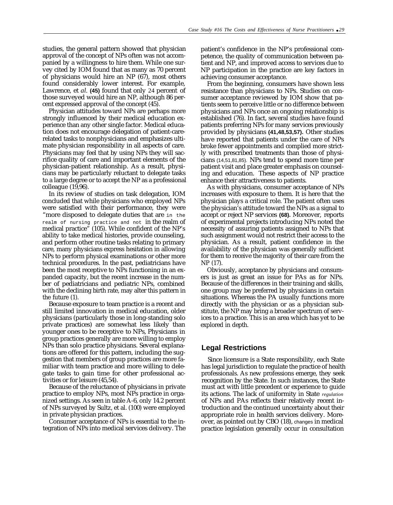studies, the general pattern showed that physician approval of the concept of NPs often was not accompanied by a willingness to hire them. While one survey cited by IOM found that as many as 70 percent of physicians would hire an NP (67), most others found considerably lower interest. For example, Lawrence, et *al.* **(45)** found that only 24 percent of those surveyed would hire an NP, although 86 percent expressed approval of the concept (45).

Physician attitudes toward NPs are perhaps more strongly influenced by their medical education experience than any other single factor. Medical education does not encourage delegation of patient-carerelated tasks to nonphysicians and emphasizes ultimate physician responsibility in all aspects of care. Physicians may feel that by using NPs they will sacrifice quality of care and important elements of the physician-patient relationship. As a result, physicians may be particularly reluctant to delegate tasks to a large degree or to accept the NP as a professional colleague (19,96).

In its review of studies on task delegation, IOM concluded that while physicians who employed NPs were satisfied with their performance, they were "more disposed to delegate duties that are in the realm of nursing practice and not in the realm of medical practice" (105). While confident of the NP's ability to take medical histories, provide counseling, and perform other routine tasks relating to primary care, many physicians express hesitation in allowing NPs to perform physical examinations or other more technical procedures. In the past, pediatricians have been the most receptive to NPs functioning in an expanded capacity, but the recent increase in the number of pediatricians and pediatric NPs, combined with the declining birth rate, may alter this pattern in the future (1).

Because exposure to team practice is a recent and still limited innovation in medical education, older physicians (particularly those in long-standing solo private practices) are somewhat less likely than younger ones to be receptive to NPs, Physicians in group practices generally are more willing to employ NPs than solo practice physicians. Several explanations are offered for this pattern, including the suggestion that members of group practices are more familiar with team practice and more willing to delegate tasks to gain time for other professional activities or for leisure (45,54).

Because of the reluctance of physicians in private practice to employ NPs, most NPs practice in organized settings. As seen in table A-6, only 14.2 percent of NPs surveyed by Sultz, et al. (100) were employed in private physician practices.

Consumer acceptance of NPs is essential to the integration of NPs into medical services delivery. The patient's confidence in the NP's professional competence, the quality of communication between patient and NP, and improved access to services due to NP participation in the practice are key factors in achieving consumer acceptance.

From the beginning, consumers have shown less resistance than physicians to NPs. Studies on consumer acceptance reviewed by IOM show that patients seem to perceive little or no difference between physicians and NPs once an ongoing relationship is established (76). In fact, several studies have found patients preferring NPs for many services previously provided by physicians **(41,48,53,57).** Other studies have reported that patients under the care of NPs broke fewer appointments and complied more strictly with prescribed treatments than those of physicians (14,51,81,85). NPs tend to spend more time per patient visit and place greater emphasis on counseling and education. These aspects of NP practice enhance their attractiveness to patients.

As with physicians, consumer acceptance of NPs increases with exposure to them. It is here that the physician plays a critical role. The patient often uses the physician's attitude toward the NPs as a signal to accept or reject NP services **(68).** Moreover, reports of experimental projects introducing NPs noted the necessity of assuring patients assigned to NPs that such assignment would not restrict their access to the physician. As a result, patient confidence in the availability of the physician was generally sufficient for them to receive the majority of their care from the NP (17).

Obviously, acceptance by physicians and consumers is just as great an issue for PAs as for NPs. Because of the differences in their training and skills, one group may be preferred by physicians in certain situations. Whereas the PA usually functions more directly with the physician or as a physician substitute, the NP may bring a broader spectrum of services to a practice. This is an area which has yet to be explored in depth.

#### **Legal Restrictions**

Since licensure is a State responsibility, each State has legal jurisdiction to regulate the practice of health professionals. As new professions emerge, they seek recognition by the State. In such instances, the State must act with little precedent or experience to guide its actions. The lack of uniformity in State *regulation* of NPs and PAs reflects their relatively recent introduction and the continued uncertainty about their appropriate role in health services delivery. Moreover, as pointed out by CBO (18), changes in medical practice legislation generally occur in consultation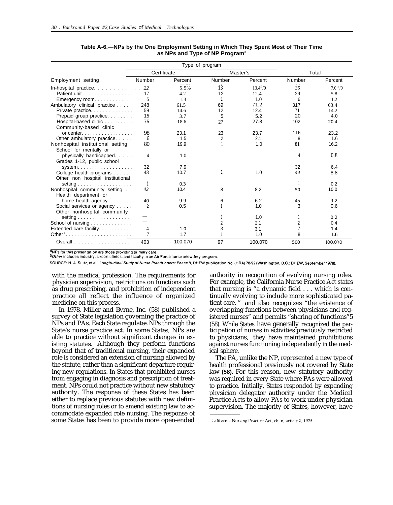|                                                              |                | Type of program |                 |          |        |                     |  |
|--------------------------------------------------------------|----------------|-----------------|-----------------|----------|--------|---------------------|--|
|                                                              |                | Certificate     |                 | Master's | Total  |                     |  |
| Employment setting                                           | Number         | Percent         | Number          | Percent  | Number | Percent             |  |
| In-hospital practice. $\ldots$ 22                            |                | 5.5%            | $1\overline{3}$ | 13.4''/0 | 35     | $7.0$ $\frac{7}{0}$ |  |
| Patient unit                                                 | 17             | 4.2             | 12              | 12.4     | 29     | 5.8                 |  |
| Emergency room                                               | 5              | 1.3             |                 | 1.0      | 6      | 1.2                 |  |
| Ambulatory clinical practice                                 | 248            | 61.5            | 69              | 71.2     | 317    | 63.4                |  |
| Private practice                                             | 59             | 14.6            | 12              | 12.4     | 71     | 14.2                |  |
| Prepaid group practice.                                      | 15             | 3.7             | 5               | 5.2      | 20     | 4.0                 |  |
| Hospital-based clinic<br>Community-based clinic              | 75             | 18.6            | 27              | 27.8     | 102    | 20.4                |  |
| or center. $\ldots$ , $\ldots$ , $\ldots$                    | 98             | 23.1            | 23              | 23.7     | 116    | 23.2                |  |
| Other ambulatory practice.                                   | 6              | 1.5             | $\overline{2}$  | 2.1      | 8      | 1.6                 |  |
| Nonhospital institutional setting.<br>School for mentally or | 80             | 19.9            |                 | 1.0      | 81     | 16.2                |  |
| physically handicapped.<br>Grades 1-12, public school        | 4              | 1.0             |                 |          | 4      | 0.8                 |  |
| system. $\ldots \ldots \ldots \ldots \ldots$                 | 32             | 7.9             |                 |          | 32     | 6.4                 |  |
| College health programs<br>Other non hospital institutional  | 43             | 10.7            |                 | 1.0      | 44     | 8.8                 |  |
| setting $\ldots \ldots \ldots \ldots \ldots$                 |                | 0.3             |                 |          |        | 0.2                 |  |
| Nonhospital community setting<br>Health department or        | 42             | 10.4            | 8               | 8.2      | 50     | 10.0                |  |
| home health agency. $\ldots$                                 | 40             | 9.9             | 6               | 6.2      | 45     | 9.2                 |  |
| Social services or agency<br>Other nonhospital community     | $\overline{2}$ | 0.5             |                 | 1.0      | 3      | 0.6                 |  |
| setting $\ldots \ldots \ldots \ldots \ldots$                 |                |                 |                 | 1.0      |        | 0.2                 |  |
| School of nursing                                            |                |                 | 2               | 2.1      | 2      | 0.4                 |  |
| Extended care facility.                                      | 4              | 1.0             | 3               | 3.1      |        | 1.4                 |  |
| Other <sup>b</sup>                                           | $\overline{7}$ | 1.7             |                 | 1.0      | 8      | 1.6                 |  |
| Overall $\ldots$ , $\ldots$ , $\ldots$ , $\ldots$ , $\ldots$ | 403            | 100.070         | 97              | 100.070  | 500    | 100.0 %             |  |

**Table A-6.—NPs by the One Employment Setting in Which They Spent Most of Their Time as NPs and Type of NP Program<sup>a</sup>**

aNPs for this presentation are those providing primary care

bother includes industry, airport clinics, and faculty in an Air Force nurse midwifery program.

SOURCE: H. A. Sultz, et al., Longitudinal Study of Nurse Practitioners: Phase II, DHEW publication No. (HRA) 78-92 (Washington, D.C.: DHEW, September 1978).

with the medical profession. The requirements for physician supervision, restrictions on functions such as drug prescribing, and prohibition of independent practice all reflect the influence of organized medicine on this process.

In 1978, Miller and Byrne, Inc. (58) published a survey of State legislation governing the practice of NPs and PAs. Each State regulates NPs through the State's nurse practice act. In some States, NPs are able to practice without significant changes in existing statutes. Although they perform functions beyond that of traditional nursing, their expanded role is considered an extension of nursing allowed by the statute, rather than a significant departure requiring new regulations. In States that prohibited nurses from engaging in diagnosis and prescription of treatment, NPs could not practice without new statutory authority. The response of these States has been either to replace previous statutes with new definitions of nursing roles or to amend existing law to accommodate expanded role nursing. The response of some States has been to provide more open-ended

authority in recognition of evolving nursing roles. For example, the California Nurse Practice Act states that nursing is "a dynamic field . . . which is continually evolving to include more sophisticated patient care, " and also recognizes "the existence of overlapping functions between physicians and registered nurses" and permits "sharing of functions"5 (58). While States have generally recognized the participation of nurses in activities previously restricted to physicians, they have maintained prohibitions against nurses functioning independently in the medical sphere.

The PA, unlike the NP, represented a new type of health professional previously not covered by State law **(58).** For this reason, new statutory authority was required in every State where PAs were allowed to practice. Initially, States responded by expanding physician delegator authority under the Medical Practice Acts to allow PAs to work under physician supervision. The majority of States, however, have

California Nursing Practice Act, ch 6, article 2, 1975.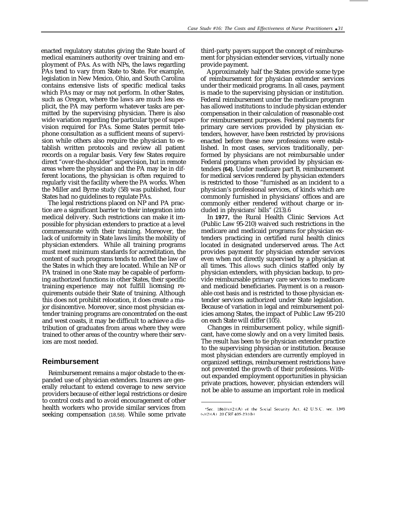enacted regulatory statutes giving the State board of medical examiners authority over training and employment of PAs. As with NPs, the laws regarding PAs tend to vary from State to State. For example, legislation in New Mexico, Ohio, and South Carolina contains extensive lists of specific medical tasks which PAs may or may not perform. In other States, such as Oregon, where the laws are much less explicit, the PA may perform whatever tasks are permitted by the supervising physician. There is also wide variation regarding the particular type of supervision required for PAs. Some States permit telephone consultation as a sufficient means of supervision while others also require the physician to establish written protocols and review all patient records on a regular basis. Very few States require direct "over-the-shoulder" supervision, but in remote areas where the physician and the PA may be in different locations, the physician is often required to regularly visit the facility where the PA works. When the Miller and Byrne study (58) was published, four States had no guidelines to regulate PAs.

The legal restrictions placed on NP and PA practice are a significant barrier to their integration into medical delivery. Such restrictions can make it impossible for physician extenders to practice at a level commensurate with their training. Moreover, the lack of uniformity in State laws limits the mobility of physician extenders. While all training programs must meet minimum standards for accreditation, the content of such programs tends to reflect the law of the States in which they are located. While an NP or PA trained in one State may be capable of performing authorized functions in other States, their specific training experience may not fulfill licensing requirements outside their State of training. Although this does not prohibit relocation, it does create a major disincentive. Moreover, since most physician extender training programs are concentrated on the east and west coasts, it may be difficult to achieve a distribution of graduates from areas where they were trained to other areas of the country where their services are most needed.

#### **Reimbursement**

Reimbursement remains a major obstacle to the expanded use of physician extenders. Insurers are generally reluctant to extend coverage to new service providers because of either legal restrictions or desire to control costs and to avoid encouragement of other health workers who provide similar services from seeking compensation (18,58). While some private

third-party payers support the concept of reimbursement for physician extender services, virtually none provide payment.

Approximately half the States provide some type of reimbursement for physician extender services under their medicaid programs. In all cases, payment is made to the supervising physician or institution. Federal reimbursement under the medicare program has allowed institutions to include physician extender compensation in their calculation of reasonable cost for reimbursement purposes. Federal payments for primary care services provided by physician extenders, however, have been restricted by provisions enacted before these new professions were established. In most cases, services traditionally, performed by physicians are not reimbursable under Federal programs when provided by physician extenders **(64).** Under medicare part B, reimbursement for medical services rendered by physician extenders is restricted to those "furnished as an incident to a physician's professional services, of kinds which are commonly furnished in physicians' offices and are commonly either rendered without charge or included in physicians' bills" (213).6

In **1977,** the Rural Health Clinic Services Act (Public Law 95-210) waived such restrictions in the medicare and medicaid programs for physician extenders practicing in certified rural health clinics located in designated underserved areas. The Act provides payment for physician extender services even when not directly supervised by a physician at all times. This allows such clinics staffed only by physician extenders, with physician backup, to provide reimbursable primary care services to medicare and medicaid beneficiaries. Payment is on a reasonable cost basis and is restricted to those physician extender services authorized under State legislation. Because of variation in legal and reimbursement policies among States, the impact of Public Law 95-210 on each State will differ (105).

Changes in reimbursement policy, while significant, have come slowly and on a very limited basis. The result has been to tie physician extender practice to the supervising physician or institution. Because most physician extenders are currently employed in organized settings, reimbursement restrictions have not prevented the growth of their professions. Without expanded employment opportunities in physician private practices, however, physician extenders will not be able to assume an important role in medical

<sup>&</sup>lt;sup>6</sup>Sec. 1861(s)(2)(A) of the Social Security Act, 42 U.S.C. sec. 1395  $(s)(2)(A)$  20 CRF 405-231(b)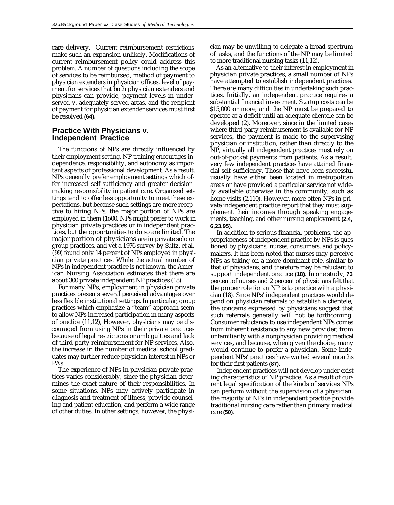care delivery. Current reimbursement restrictions make such an expansion unlikely. Modifications of current reimbursement policy could address this problem. A number of questions including the scope of services to be reimbursed, method of payment to physician extenders in physician offices, level of payment for services that both physician extenders and physicians can provide, payment levels in underserved v. adequately served areas, and the recipient of payment for physician extender services must first be resolved **(64).**

## **Practice With Physicians v. Independent Practice**

The functions of NPs are directly influenced by their employment setting. NP training encourages independence, responsibility, and autonomy as important aspects of professional development. As a result, NPs generally prefer employment settings which offer increased self-sufficiency and greater decisionmaking responsibility in patient care. Organized settings tend to offer less opportunity to meet these expectations, but because such settings are more receptive to hiring NPs, the major portion of NPs are employed in them (1o00. NPs might prefer to work in physician private practices or in independent practices, but the opportunities to do so are limited. The major portion of physicians are in private solo or group practices, and yet a 1976 survey by Sultz, et al. (99) found only 14 percent of NPs employed in physician private practices. While the actual number of NPs in independent practice is not known, the American Nursing Association estimates that there are about 300 private independent NP practices (18).

For many NPs, employment in physician private practices presents several perceived advantages over less flexible institutional settings. In particular, group practices which emphasize a "team" approach seem to allow NPs increased participation in many aspects of practice (11,12), However, physicians may be discouraged from using NPs in their private practices because of legal restrictions or ambiguities and lack of third-party reimbursement for NP services, Also, the increase in the number of medical school graduates may further reduce physician interest in NPs or PAs.

The experience of NPs in physician private practices varies considerably, since the physician determines the exact nature of their responsibilities. In some situations, NPs may actively participate in diagnosis and treatment of illness, provide counseling and patient education, and perform a wide range of other duties. In other settings, however, the physician may be unwilling to delegate a broad spectrum of tasks, and the functions of the NP may be limited to more traditional nursing tasks (11,12).

As an alternative to their interest in employment in physician private practices, a small number of NPs have attempted to establish independent practices. There are many difficulties in undertaking such practices. Initially, an independent practice requires a substantial financial investment. Startup costs can be \$15,000 or more, and the NP must be prepared to operate at a deficit until an adequate clientele can be developed (2). Moreover, since in the limited cases where third-party reimbursement is available for NP services, the payment is made to the supervising physician or institution, rather than directly to the NP, virtually all independent practices must rely on out-of-pocket payments from patients. As a result, very few independent practices have attained financial self-sufficiency. Those that have been successful usually have either been located in metropolitan areas or have provided a particular service not widely available otherwise in the community, such as home visits (2,110). However, more often NPs in private independent practice report that they must supplement their incomes through speaking engagements, teaching, and other nursing employment **(2,4, 6,23,95).**

In addition to serious financial problems, the appropriateness of independent practice by NPs is questioned by physicians, nurses, consumers, and policymakers. It has been noted that nurses may perceive NPs as taking on a more dominant role, similar to that of physicians, and therefore may be reluctant to support independent practice **(18).** In one study, **73** percent of nurses and 2 percent of physicians felt that the proper role for an NP is to practice with a physician (18). Since NPs' independent practices would depend on physician referrals to establish a clientele, the concerns expressed by physicians suggest that such referrals generally will not be forthcoming. Consumer reluctance to use independent NPs comes from inherent resistance to any new provider, from unfamiliarity with a nonphysician providing medical services, and because, when given the choice, many would continue to prefer a physician. Some independent NPs' practices have waited several months for their first patients **(87).**

Independent practices will not develop under existing characteristics of NP practice. As a result of current legal specification of the kinds of services NPs can perform without the supervision of a physician, the majority of NPs in independent practice provide traditional nursing care rather than primary medical care **(50).**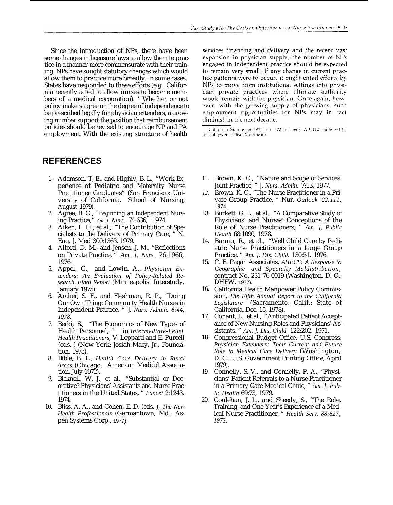Since the introduction of NPs, there have been some changes in licensure laws to allow them to practice in a manner more commensurate with their training. NPs have sought statutory changes which would allow them to practice more broadly. In some cases, States have responded to these efforts (e.g., California recently acted to allow nurses to become members of a medical corporation). ' Whether or not policy makers agree on the degree of independence to be prescribed legally for physician extenders, a growing number support the position that reimbursement policies should be revised to encourage NP and PA employment. With the existing structure of health

# **REFERENCES**

- 1. Adamson, T, E., and Highly, B. L., "Work Experience of Pediatric and Maternity Nurse Practitioner Graduates" (San Francisco: University of California, School of Nursing, August 1979).
- 2. Agree, B. C., "Beginning an Independent Nursing Practice," *Am. J. Nurs.* 74:636, 1974.
- 3. Aiken, L. H., et al., "The Contribution of Specialists to the Delivery of Primary Care, " N. Eng. ], Med 300:1363, 1979.
- 4. Alford, D. M., and Jensen, J. M., "Reflections on Private Practice, " *Am. ], Nurs.* 76:1966, 1976.
- 5. Appel, G., and Lowin, A., *Physician Extenders: An Evaluation of Policy-Related Research, Final Report* (Minneapolis: Interstudy, January 1975).
- 6. Archer, S. E., and Fleshman, R. P., "Doing Our Own Thing: Community Health Nurses in Independent Practice, " ]. *Nurs. Admin. 8:44, 1978.*
- 7. Berki, S., "The Economics of New Types of Health Personnel, " in *Intermediate-Leuel Health Practitioners,* V. Leppard and E. Purcell (eds. ) (New York: Josiah Macy, Jr., Foundation, 1973).
- 8. Bible, B. L., *Health Care Delivery in Rural Areas* (Chicago: American Medical Association, July 1972).
- 9. Bicknell, W. J., et al., "Substantial or Decorative? Physicians' Assistants and Nurse Practitioners in the United States, " *Lancet* 2:1243, 1974.
- 10. Bliss, A. A., and Cohen, E. D. (eds. ), *The New Health Professionals* (Germantown, Md.: Aspen Systems Corp., 1977).

services financing and delivery and the recent vast expansion in physician supply, the number of NPs engaged in independent practice should be expected to remain very small. If any change in current practice patterns were to occur, it might entail efforts by NPs to move from institutional settings into physician private practices where ultimate authority would remain with the physician. Once again, however, with the growing supply of physicians, such employment opportunities for NPs may in fact diminish in the next decade.

California Statutes of 1979, ch. 472 (formerly AB1112, authored by assemblywoman Jean Moorhead)

- 11. Brown, K. C., "Nature and Scope of Services: Joint Practice, " ]. *Nurs. Admin.* 7:13, 1977.
- *12.* Brown, K. C., "The Nurse Practitioner in a Private Group Practice, " Nur. *Outlook 22:111,* 1974.
- 13. Burkett, G. L., et al., "A Comparative Study of Physicians' and Nurses' Conceptions of the Role of Nurse Practitioners, " *Am. ], Public Health* 68:1090, 1978.
- 14. Burnip, R., et al., "Well Child Care by Pediatric Nurse Practitioners in a Large Group Practice, " *Am. }. Dis. Child.* 130:51, 1976.
- 15. C. E. Pagan Associates, *AHECS: A Response to Geographic and Specialty Maldistribution,* contract No. 231-76-0019 (Washington, D. C.: DHEW, 1977).
- 16. California Health Manpower Policy Commission, *The Fifth Annual Report to the California Legislature* (Sacramento, Calif.: State of California, Dec. 15, 1978).
- 17. Conant, L., et al., "Anticipated Patient Acceptance of New Nursing Roles and Physicians' Assistants, " *Am, ]. Dis, Child.* 122:202, 1971.
- 18. Congressional Budget Office, U.S. Congress, *Physician Extenders: Their Current and Future Role in Medical Care Delivery* (Washington, D. C.: U.S. Government Printing Office, April 1979).
- 19. Connelly, S. V., and Connelly, P. A., "Physicians' Patient Referrals to a Nurse Practitioner in a Primary Care Medical Clinic, " *Am. ], Public Health* 69:73, 1979.
- 20. Coulehan, J. L., and Sheedy, S., "The Role, Training, and One-Year's Experience of a MedicaI Nurse Practitioner, " *Health Serv. 88:827, 1973.*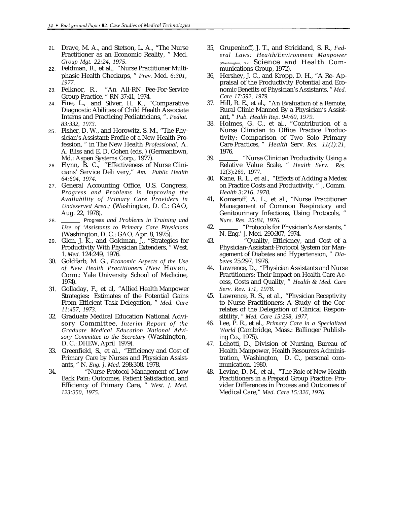- 21. Draye, M. A., and Stetson, L. A., "The Nurse Practitioner as an Economic Reality, " Med. *Group Mgt. 22:24, 1975.*
- 22. Feldman, R., et al., "Nurse Practitioner Multiphasic Health Checkups, " *Prev.* Med. *6:301, 1977.*
- 23. Felknor, R., "An All-RN Fee-For-Service Group Practice, " RN 37:41, 1974.
- 24. Fine, L., and Silver, H. K., "Comparative Diagnostic Abilities of Child Health Associate Interns and Practicing Pediatricians, ". *Pediat. 83:332, 1973.*
- 25. Fisher, D. W., and Horowitz, S. M., "The Physician's Assistant: Profile of a New Health Profession, " in The New Health *Professional,* A. A. Bliss and E. D. Cohen (eds. ) (Germantown, Md.: Aspen Systems Corp., 1977).
- 26. Flynn, B. C., "Effectiveness of Nurse Clinicians' Service Deli very," *Am. Public Health 64:604, 1974.*
- 27. General Accounting Office, U.S. Congress, *Progress and Problems in Improving the Availability of Primary Care Providers in Undeserved Area.;* (Washington, D. C.: GAO, Aug. 22, 1978).
- 28. Progress *and Problems in Training and Use of 'Assistants to Primary Care Physicians* (Washington, D. C.: GAO, Apr. 8, 1975).
- 29. Glen, J. K., and Goldman, J., "Strategies for Productivity With Physician Extenders, " West. 1. *Med.* 124:249, 1976.
- 30. Goldfarb, M. G., *Economic Aspects of the Use of New Health Practitioners (New* Haven, Corm.: Yale University School of Medicine, 1974).
- 31. Golladay, F., et al, "Allied Health Manpower Strategies: Estimates of the Potential Gains From Efficient Task Delegation, " *Med. Care 11:457, 1973.*
- 32. Graduate Medical Education National Advisory Committee, *Interim Report of the Graduate Medical Education National Advisory Committee to the Secretary* (Washington, D. C.: DHEW, April 1979).
- 33. Greenfield, S., et al., "Efficiency and Cost of Primary Care by Nurses and Physician Assistants, " N. *Eng. ]. Med.* 298:308, 1978.
- 34. "Nurse-Protocol Management of Low Back Pain: Outcomes, Patient Satisfaction, and Efficiency of Primary Care, " *West. ]. Med. 123:350, 1975.*
- 35, Grupenhoff, J. T., and Strickland, S. R., *Federal Laws: Hea/th/Environment Manpower* (Washington, D.c.: Science and Health Communications Group, 1972).
- 36, Hershey, J. C., and Kropp, D. H., "A Re- Appraisal of the Productivity Potential and Economic Benefits of Physician's Assistants, " *Med. Care 17:592, 1979.*
- 37. Hill, R. E., et al., "An Evaluation of a Remote, Rural Clinic Manned By a Physician's Assistant, " *Pub. Health Rep. 94:60, 1979.*
- 38. Holmes, G. C., et al., "Contribution of a Nurse Clinician to Office Practice Productivity: Comparison of Two Solo Primary Care Practices, " *Health* Serv. *Res. 11(1):21,* 1976.
- 39. "Nurse Clinician Productivity Using a Relative Value Scale, " *Health Serv. Res.* 12(3):269, 1977.
- 40. Kane, R. L., et al., "Effects of Adding a Medex on Practice Costs and Productivity, " ]. Comm. *Health 3:216, 1978.*
- 41, Komaroff, A. L., et al., "Nurse Practitioner Management of Common Respiratory and Genitourinary Infections, Using Protocols, " *Nurs. Res. 25:84, 1976.*
- 42. "Protocols for Physician's Assistants, " N. Eng.' ]. Med. 290:307, 1974.
- 43. "Quality, Efficiency, and Cost of a Physician-Assistant-Protocol System for Management of Diabetes and Hypertension, " *Diabetes* 25:297, 1976.
- 44. Lawrence, D., "Physician Assistants and Nurse Practitioners: Their Impact on Health Care Access, Costs and Quality, " *Health & Med. Care Serv. Rev. 1:1, 1978.*
- 45. Lawrence, R. S., et al., "Physician Receptivity to Nurse Practitioners: A Study of the Correlates of the Delegation of Clinical Responsibility, " *Med. Care 15:298, 1977,*
- 46. Lee, P. R., et al., *Primary Care in a Specialized World* (Cambridge, Mass.: Ballinger Publishing Co., 1975).
- 47. Lehotti, D., Division of Nursing, Bureau of Health Manpower, Health Resources Administration, Washington, D. C., personal communication, 1980.
- 48. Levine, D. M., et al., "The Role of New Health Practitioners in a Prepaid Group Practice: Provider Differences in Process and Outcomes of Medical Care," *Med. Care 15:326, 1976.*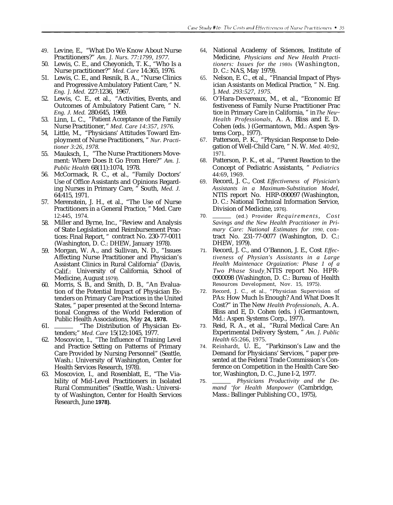- 49. Levine, E., "What Do We Know About Nurse Practitioners?" *Am. ]. Nurs. 77:1799, 1977.*
- 50. Lewis, C. E., and Cheyonich, T. K., "Who Is a Nurse practitioner?" *Med. Care* 14:365, 1976.
- 51. Lewis, C. E., and Resnik, B. A., "Nurse Clinics and Progressive Ambulatory Patient Care, " N. *Eng. ]. Med.* 227:1236, 1967.
- 52. Lewis, C. E., et al., "Activities, Events, and Outcomes of Ambulatory Patient Care, " N. *Eng. J. Med.* 280:645, 1969.
- 53. Linn, L. C., "Patient Acceptance of the Family Nurse Practitioner," *Med. Care 14:357, 1976.*
- 54, Little, M., "Physicians' Attitudes Toward Employment of Nurse Practitioners, " *Nur. Practitioner 3:26, 1978.*
- 55. Mauksch, I., "The Nurse Practitioners Movement: Where Does It Go From Here?" *Am. ]. Public Health* 68(11):1074, 1978.
- 56. McCormack, R. C., et al., "Family Doctors' Use of Office Assistants and Opinions Regarding Nurses in Primary Care, " South, *Med. J.* 64:415, 1971.
- 57. Merenstein, J. H., et al., "The Use of Nurse Practitioners in a General Practice, " Med. Care 12:445, 1974.
- 58. Miller and Byrne, Inc., "Review and Analysis of State Legislation and Reimbursement Practices: Final Report, " contract No. 230-77-0011 (Washington, D. C.: DHEW, January 1978).
- 59. Morgan, W. A., and Sullivan, N. D., "Issues Affecting Nurse Practitioner and Physician's Assistant Clinics in Rural California" (Davis, Calif.: University of California, School of Medicine, August 1979).
- 60. Morris, S. B., and Smith, D. B., "An Evaluation of the Potential Impact of Physician Extenders on Primary Care Practices in the United States, " paper presented at the Second International Congress of the World Federation of Public Health Associations, May **24, 1978.**
- 61. "The Distribution of Physician Extenders;" *Med. Care* 15(12):1045, 1977.
- 62. Moscovice, 1., "The Influence of Training Level and Practice Setting on Patterns of Primary Care Provided by Nursing Personnel" (Seattle, Wash.: University of Washington, Center for Health Services Research, 1978).
- 63. Moscovice, I., and Rosenblatt, E., "The Viability of Mid-Level Practitioners in Isolated Rural Communities" (Seattle, Wash.: University of Washington, Center for Health Services Research, June **1978).**
- 64, National Academy of Sciences, Institute of Medicine, *Physicians and New Health Practitioners: Issues for the 1980s* (Washington, D. C.: NAS, May 1979).
- 65. Nelson, E. C., et al., "Financial Impact of Physician Assistants on Medical Practice, " N. Eng. ]. *Med. 293:527, 1975.*
- 66. O'Hara-Devereaux, M., et al., "Economic Ef festiveness of Family Nurse Practitioner Prac tice in Primary Care in California, " in *The Neu~ Health Professionals,* A. A. Bliss and E. D. Cohen (eds. ) (Germantown, Md.: Aspen Systems Corp., 1977).
- 67. Patterson, P. K., "Physician Response to Delegation of Well-Child Care, " N. W. *Med.* 40:92, 1971.
- 68. Patterson, P. K., et al., "Parent Reaction to the Concept of Pediatric Assistants, " *Pediatrics* 44:69, 1969.
- 69. Record, J. C., Cost *Effectiveness of Plysician's Assistants in a Maximum-Substitution Model,* NTIS report No. HRP-090097 (Washington, D. C.: National Technical Information Service, Division of Medicine, 1976).
- 70. (ed.) Provider *Requirements, Cost Savings and the New Health Practitioner in Primary Care: National Estimates for 1990,* contract No. 231-77-0077 (Washington, D. C.: DHEW, 1979).
- 71. Record, J. C., and O'Bannon, J. E., Cost *Effectiveness of Physian's Assistants in a Large Health Maintenace Orgaization: Phase 1 of a Two Phase Studyj* NTIS report No. HPR-0900098 (Washington, D. C.: Bureau of Health Resources Development, Nov. 15, 1975).
- 72. Record, J. C., et al., "Physician Supervision of PAs: How Much Is Enough? And What Does It Cost?" in The New *Health Professionals,* A. A. Bliss and E, D. Cohen (eds. ) (Germantown, Md.: Aspen Systems Corp., 1977).
- 73. Reid, R. A., et al., "Rural Medical Care: An Experimental Delivery System, " *Am. ]. Public Health* 65:266, 1975.
- 74. Reinhardt, U. E., "Parkinson's Law and the Demand for Physicians' Services, " paper presented at the Federal Trade Commission's Conference on Competition in the Health Care Sector, Washington, D. C., June I-2, 1977.
- 75. *Physicians Productivity and the Demand 'for Health Manpower* (Cambridge, Mass.: Ballinger Publishing CO., 1975),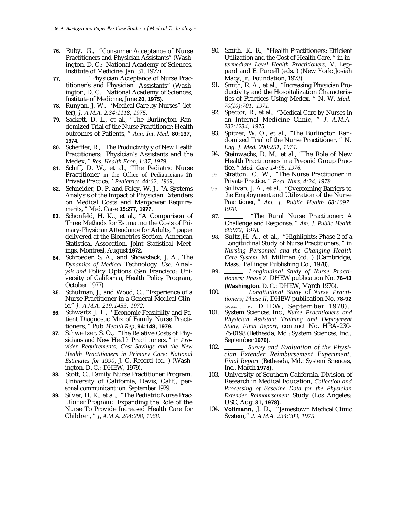- **76.** Ruby, G., "Consumer Acceptance of Nurse Practitioners and Physician Assistants" (Washington, D. C.: National Academy of Sciences, Institute of Medicine, Jan. 31, 1977).
- **77.** "Physician Acceptance of Nurse Practitioner's and Physician Assistants" (Washington, D. C.: National Academy of Sciences, Institute of Medicine, June **20, 1975).**
- **78.** Runyan, J. W., 'Medical Care by Nurses" (letter), *]. A.M.A. 2.34:1118, 1975.*
- **79.** Sackett, D. L., et al., "The Burlington Randomized Trial of the Nurse Practitioner: Health outcomes of Patients, " *Ann. Int. Med.* **80:137, 1974.**
- **80.** Scheffler, R., "The Productivity y of New Health Practitioners: Physician's Assistants and the Medex, " *Res. Health Econ, 1:37, 1979.*
- **81.** Schiff, D. W., et al., "The Pediatric Nurse Practitioner in the Office of Pediatricians in Private Practice, ' *Pediatrics 44:62, 1969,*
- **82.** Schneider, D. P. and Foley, W. J., "A Systems Analysis of the Impact of Physician Extenders on Medical Costs and Manpower Requiremerits, " Med. Car-e **15:277, 1977.**
- **83.** Schonfeld, H. K.., et al., "A Comparison of Three Methods for Estimating the Costs of Primary-Physician Attendance for Adults, " paper delivered at the Biometrics Section, American Statistical Assocation, Joint Statistical Meetings, Montreal, August **1972.**
- **84.** Schroeder, S, A., and Showstack, J. A., The *Dynamics of Medical* Technology *Use:* Anal*ysis and* Policy Options (San Francisco: University of California, Health Policy Program, October 1977).
- **8.5.** Schulman, J., and Wood, C., "Experience of a Nurse Practitioner in a General Medical Clinic," *]. A.M.A. 219:1453, 1972.*
- **86.** Schwartz J. L., ' Economic Feasibility and Patient Diagnostic Mix of Family Nurse Practitioners, " Pub. *Health Rep,* **94:148, 1979.**
- **87.** Schweitzer, S. O., "The Relative Costs of Physicians and New Health Practitioners, " in *Provider Requirements, Cost Savings and the New Health Practitioners in Primary Care: National Estimates for 1990,* J. C. Record (cd. ) (Washington, D. C.: DHEW, 1979).
- **88.** Scott, C., Family Nurse Practitioner Program, University of California, Davis, Calif,, personal communicant ion, September 1979.
- **89.** Silver, H. K., et a ., "The Pediatric Nurse Practitioner Program: Expanding the Role of the Nurse To Provide Increased Health Care for Children, " *], A.M.A. 204:298, 1968.*
- 90. Smith, K. R., "Health Practitioners: Efficient Utilization and the Cost of Health Care, " in in*termediate Level Health Practitioners,* V. Leppard and E. Purcell (eds. ) (New York: Josiah Macy, Jr., Foundation, 1973).
- 91. Smith, R. A., et al., "Increasing Physician Productivity and the Hospitalization Characteristics of Practices Using Medex, " N. W. *Med. 70(10):701, 1971.*
- 92. Spector, R., et al., "Medical Care by Nurses in an Internal Medicine Clinic, " *J. A.M.A. 232:1234, 1975.*
- 93. Spitzer, W. O., et al,, "The Burlington Randomized Trial of the Nurse Practitioner, " N. *Eng. ]. Med. 290:251, 1974.*
- 94. Steinwachs, D. M., et al., "The Role of New Health Practitioners in a Prepaid Group Practice, " *Med. Care 14:95, 1976.*
- 95. Stratton, C. W., "The Nurse Practitioner in Private Practice, " *Peal. Nurs. 4:24, 1978.*
- 96. Sullivan, J. A., et al., "Overcoming Barriers to the Employment and Utilization of the Nurse Practitioner, " *Am. ]. Public Health 68:1097, 1978.*
- 97. "The Rural Nurse Practitioner: A Challenge and Response, " *Am. ], Public Health 68:972, 1978.*
- 98. Sultz $,H$ . A., et al., "Highlights: Phase 2 of a Longitudinal Study of Nurse Practitioners, " in *Nursing Personnel and the Changing Health Care System,* M. Millman (cd. ) (Cambridge, Mass.: Ballinger Publishing Co., 1978).
- 9 9 . *Longitudinal Study of Nurse Practitioners; Phase Z,* DHEW publication No. **76-43 (Washington,** D. C.: DHEW, March 1976).
- 100. *Longitudinal Study* of *Nurse Practitioners; Phase II,* DHEW publication No. **78-92** (Washington, D.c.: DHEW, September 1978).
- 101. System Sciences, Inc., *Nurse Practitioners and Physician Assistant Training and Deployment Study, Final Report,* contract No. HRA-230- 75-0198 (Bethesda, Md.: System Sciences, Inc., September **1976).**
- 102. *Survey and Evaluation of the Physician Extender Reimbursement Experiment, Final Report* (Bethesda, Md.: System Sciences, Inc., March **1978).**
- 103. University of Southern California, Division of Research in Medical Education, *Collection and Processing of Baseline Data for the Physician Extender Reimbursement* Study (Los Angeles: USC, Aug. **31, 1978).**
- 104. **Voltmann,** J. D., "Jamestown Medical Clinic System," *J. A.M.A. 234:303, 1975.*